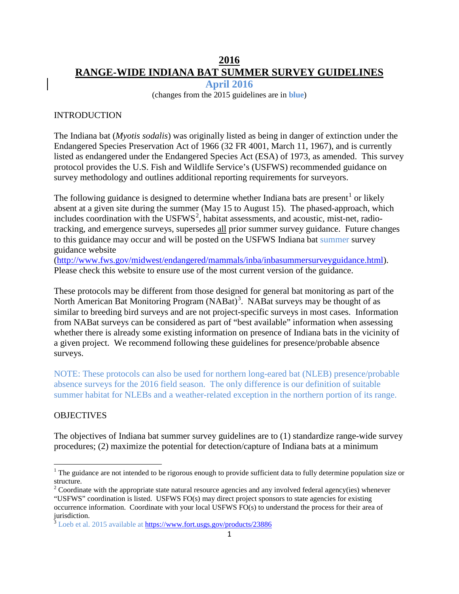# **2016 RANGE-WIDE INDIANA BAT SUMMER SURVEY GUIDELINES**

**April 2016**

(changes from the 2015 guidelines are in **blue**)

#### INTRODUCTION

The Indiana bat (*Myotis sodalis*) was originally listed as being in danger of extinction under the Endangered Species Preservation Act of 1966 (32 FR 4001, March 11, 1967), and is currently listed as endangered under the Endangered Species Act (ESA) of 1973, as amended. This survey protocol provides the U.S. Fish and Wildlife Service's (USFWS) recommended guidance on survey methodology and outlines additional reporting requirements for surveyors.

The following guidance is designed to determine whether Indiana bats are present<sup>[1](#page-0-0)</sup> or likely absent at a given site during the summer (May 15 to August 15). The phased-approach, which includes coordination with the  $\text{USFWS}^2$  $\text{USFWS}^2$ , habitat assessments, and acoustic, mist-net, radiotracking, and emergence surveys, supersedes all prior summer survey guidance. Future changes to this guidance may occur and will be posted on the USFWS Indiana bat summer survey guidance website

[\(http://www.fws.gov/midwest/endangered/mammals/inba/inbasummersurveyguidance.html\)](http://www.fws.gov/midwest/endangered/mammals/inba/inbasummersurveyguidance.html). Please check this website to ensure use of the most current version of the guidance.

These protocols may be different from those designed for general bat monitoring as part of the North American Bat Monitoring Program (NABat)<sup>[3](#page-0-2)</sup>. NABat surveys may be thought of as similar to breeding bird surveys and are not project-specific surveys in most cases. Information from NABat surveys can be considered as part of "best available" information when assessing whether there is already some existing information on presence of Indiana bats in the vicinity of a given project. We recommend following these guidelines for presence/probable absence surveys.

NOTE: These protocols can also be used for northern long-eared bat (NLEB) presence/probable absence surveys for the 2016 field season. The only difference is our definition of suitable summer habitat for NLEBs and a weather-related exception in the northern portion of its range.

#### OBJECTIVES

The objectives of Indiana bat summer survey guidelines are to (1) standardize range-wide survey procedures; (2) maximize the potential for detection/capture of Indiana bats at a minimum

<span id="page-0-0"></span> $1$  The guidance are not intended to be rigorous enough to provide sufficient data to fully determine population size or structure.

<span id="page-0-1"></span> $2^2$  Coordinate with the appropriate state natural resource agencies and any involved federal agency(ies) whenever "USFWS" coordination is listed. USFWS FO(s) may direct project sponsors to state agencies for existing occurrence information. Coordinate with your local USFWS FO(s) to understand the process for their area of jurisdiction.

<span id="page-0-2"></span><sup>&</sup>lt;sup>3</sup> Loeb et al. 2015 available a[t https://www.fort.usgs.gov/products/23886](https://www.fort.usgs.gov/products/23886)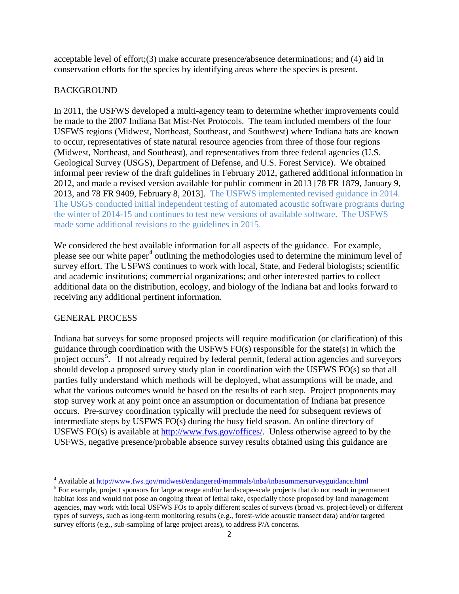acceptable level of effort;(3) make accurate presence/absence determinations; and (4) aid in conservation efforts for the species by identifying areas where the species is present.

#### BACKGROUND

In 2011, the USFWS developed a multi-agency team to determine whether improvements could be made to the 2007 Indiana Bat Mist-Net Protocols. The team included members of the four USFWS regions (Midwest, Northeast, Southeast, and Southwest) where Indiana bats are known to occur, representatives of state natural resource agencies from three of those four regions (Midwest, Northeast, and Southeast), and representatives from three federal agencies (U.S. Geological Survey (USGS), Department of Defense, and U.S. Forest Service). We obtained informal peer review of the draft guidelines in February 2012, gathered additional information in 2012, and made a revised version available for public comment in 2013 [78 FR 1879, January 9, 2013, and 78 FR 9409, February 8, 2013]. The USFWS implemented revised guidance in 2014. The USGS conducted initial independent testing of automated acoustic software programs during the winter of 2014-15 and continues to test new versions of available software. The USFWS made some additional revisions to the guidelines in 2015.

We considered the best available information for all aspects of the guidance. For example, please see our white paper<sup>[4](#page-1-0)</sup> outlining the methodologies used to determine the minimum level of survey effort. The USFWS continues to work with local, State, and Federal biologists; scientific and academic institutions; commercial organizations; and other interested parties to collect additional data on the distribution, ecology, and biology of the Indiana bat and looks forward to receiving any additional pertinent information.

#### GENERAL PROCESS

Indiana bat surveys for some proposed projects will require modification (or clarification) of this guidance through coordination with the USFWS FO(s) responsible for the state(s) in which the project occurs<sup>[5](#page-1-1)</sup>. If not already required by federal permit, federal action agencies and surveyors should develop a proposed survey study plan in coordination with the USFWS FO(s) so that all parties fully understand which methods will be deployed, what assumptions will be made, and what the various outcomes would be based on the results of each step. Project proponents may stop survey work at any point once an assumption or documentation of Indiana bat presence occurs. Pre-survey coordination typically will preclude the need for subsequent reviews of intermediate steps by USFWS FO(s) during the busy field season. An online directory of USFWS FO(s) is available at [http://www.fws.gov/offices/.](http://www.fws.gov/offices/) Unless otherwise agreed to by the USFWS, negative presence/probable absence survey results obtained using this guidance are

<span id="page-1-1"></span><span id="page-1-0"></span>

<sup>&</sup>lt;sup>4</sup> Available at  $\frac{http://www.fws.gov/midwest/endanged/mammals/inba/inbasummersurveyguidance.html}{$  For example, project sponsors for large acreage and/or landscape-scale projects that do not result in permanent habitat loss and would not pose an ongoing threat of lethal take, especially those proposed by land management agencies, may work with local USFWS FOs to apply different scales of surveys (broad vs. project-level) or different types of surveys, such as long-term monitoring results (e.g., forest-wide acoustic transect data) and/or targeted survey efforts (e.g., sub-sampling of large project areas), to address P/A concerns.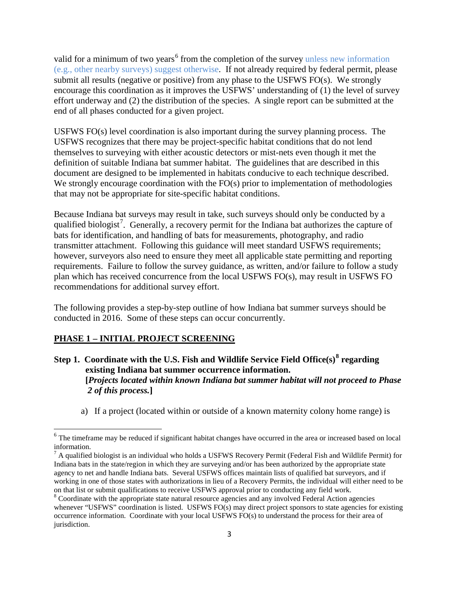valid for a minimum of two years<sup>[6](#page-2-0)</sup> from the completion of the survey unless new information (e.g., other nearby surveys) suggest otherwise. If not already required by federal permit, please submit all results (negative or positive) from any phase to the USFWS FO(s). We strongly encourage this coordination as it improves the USFWS' understanding of (1) the level of survey effort underway and (2) the distribution of the species. A single report can be submitted at the end of all phases conducted for a given project.

USFWS FO(s) level coordination is also important during the survey planning process. The USFWS recognizes that there may be project-specific habitat conditions that do not lend themselves to surveying with either acoustic detectors or mist-nets even though it met the definition of suitable Indiana bat summer habitat. The guidelines that are described in this document are designed to be implemented in habitats conducive to each technique described. We strongly encourage coordination with the FO(s) prior to implementation of methodologies that may not be appropriate for site-specific habitat conditions.

Because Indiana bat surveys may result in take, such surveys should only be conducted by a qualified biologist<sup>[7](#page-2-1)</sup>. Generally, a recovery permit for the Indiana bat authorizes the capture of bats for identification, and handling of bats for measurements, photography, and radio transmitter attachment. Following this guidance will meet standard USFWS requirements; however, surveyors also need to ensure they meet all applicable state permitting and reporting requirements. Failure to follow the survey guidance, as written, and/or failure to follow a study plan which has received concurrence from the local USFWS FO(s), may result in USFWS FO recommendations for additional survey effort.

The following provides a step-by-step outline of how Indiana bat summer surveys should be conducted in 2016. Some of these steps can occur concurrently.

#### **PHASE 1 – INITIAL PROJECT SCREENING**

 $\overline{\phantom{a}}$ 

- **Step 1. Coordinate with the U.S. Fish and Wildlife Service Field Office(s)[8](#page-2-2) regarding existing Indiana bat summer occurrence information. [***Projects located within known Indiana bat summer habitat will not proceed to Phase 2 of this process.***]**
	- a) If a project (located within or outside of a known maternity colony home range) is

<span id="page-2-0"></span><sup>&</sup>lt;sup>6</sup> The timeframe may be reduced if significant habitat changes have occurred in the area or increased based on local information.

<span id="page-2-1"></span> $^7$  A qualified biologist is an individual who holds a USFWS Recovery Permit (Federal Fish and Wildlife Permit) for Indiana bats in the state/region in which they are surveying and/or has been authorized by the appropriate state agency to net and handle Indiana bats. Several USFWS offices maintain lists of qualified bat surveyors, and if working in one of those states with authorizations in lieu of a Recovery Permits, the individual will either need to be on that list or submit qualifications to receive USFWS approval prior to conducting any field work.

<span id="page-2-2"></span><sup>&</sup>lt;sup>8</sup> Coordinate with the appropriate state natural resource agencies and any involved Federal Action agencies whenever "USFWS" coordination is listed. USFWS FO(s) may direct project sponsors to state agencies for existing occurrence information. Coordinate with your local USFWS FO(s) to understand the process for their area of jurisdiction.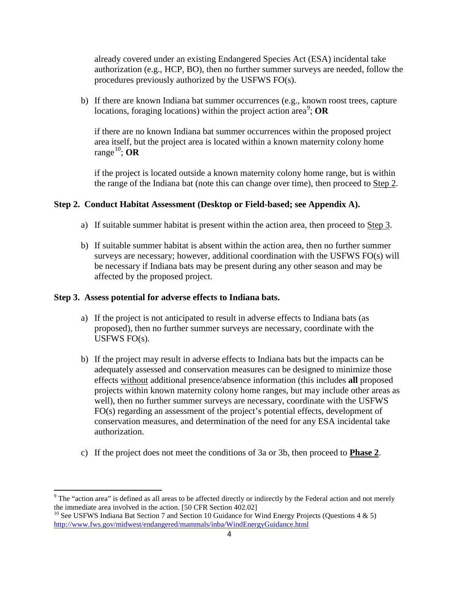already covered under an existing Endangered Species Act (ESA) incidental take authorization (e.g., HCP, BO), then no further summer surveys are needed, follow the procedures previously authorized by the USFWS FO(s).

b) If there are known Indiana bat summer occurrences (e.g., known roost trees, capture locations, foraging locations) within the project action area<sup>[9](#page-3-0)</sup>; OR

if there are no known Indiana bat summer occurrences within the proposed project area itself, but the project area is located within a known maternity colony home range<sup>[10](#page-3-1)</sup>; OR

if the project is located outside a known maternity colony home range, but is within the range of the Indiana bat (note this can change over time), then proceed to Step 2.

#### **Step 2. Conduct Habitat Assessment (Desktop or Field-based; see Appendix A).**

- a) If suitable summer habitat is present within the action area, then proceed to Step 3.
- b) If suitable summer habitat is absent within the action area, then no further summer surveys are necessary; however, additional coordination with the USFWS FO(s) will be necessary if Indiana bats may be present during any other season and may be affected by the proposed project.

#### **Step 3. Assess potential for adverse effects to Indiana bats.**

- a) If the project is not anticipated to result in adverse effects to Indiana bats (as proposed), then no further summer surveys are necessary, coordinate with the USFWS FO(s).
- b) If the project may result in adverse effects to Indiana bats but the impacts can be adequately assessed and conservation measures can be designed to minimize those effects without additional presence/absence information (this includes **all** proposed projects within known maternity colony home ranges, but may include other areas as well), then no further summer surveys are necessary, coordinate with the USFWS FO(s) regarding an assessment of the project's potential effects, development of conservation measures, and determination of the need for any ESA incidental take authorization.
- c) If the project does not meet the conditions of 3a or 3b, then proceed to **Phase 2**.

<span id="page-3-0"></span> $9$  The "action area" is defined as all areas to be affected directly or indirectly by the Federal action and not merely the immediate area involved in the action. [50 CFR Section 402.02]

<span id="page-3-1"></span><sup>&</sup>lt;sup>10</sup> See USFWS Indiana Bat Section 7 and Section 10 Guidance for Wind Energy Projects (Questions 4 & 5) <http://www.fws.gov/midwest/endangered/mammals/inba/WindEnergyGuidance.html>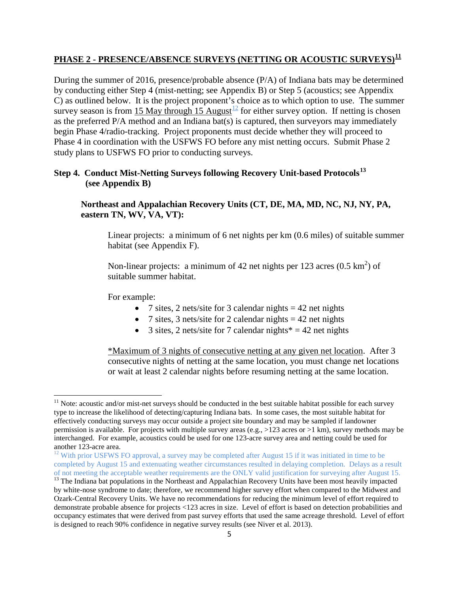# **PHASE 2 - PRESENCE/ABSENCE SURVEYS (NETTING OR ACOUSTIC SURVEYS)[11](#page-4-0)**

During the summer of 2016, presence/probable absence (P/A) of Indiana bats may be determined by conducting either Step 4 (mist-netting; see Appendix B) or Step 5 (acoustics; see Appendix C) as outlined below. It is the project proponent's choice as to which option to use. The summer survey season is from 15 May through 15 August<sup>[12](#page-4-1)</sup> for either survey option. If netting is chosen as the preferred P/A method and an Indiana bat(s) is captured, then surveyors may immediately begin Phase 4/radio-tracking. Project proponents must decide whether they will proceed to Phase 4 in coordination with the USFWS FO before any mist netting occurs. Submit Phase 2 study plans to USFWS FO prior to conducting surveys.

### **Step 4. Conduct Mist-Netting Surveys following Recovery Unit-based Protocols[13](#page-4-2) (see Appendix B)**

### **Northeast and Appalachian Recovery Units (CT, DE, MA, MD, NC, NJ, NY, PA, eastern TN, WV, VA, VT):**

Linear projects: a minimum of 6 net nights per km (0.6 miles) of suitable summer habitat (see Appendix F).

Non-linear projects: a minimum of 42 net nights per 123 acres  $(0.5 \text{ km}^2)$  of suitable summer habitat.

For example:

- 7 sites, 2 nets/site for 3 calendar nights  $= 42$  net nights
- 7 sites, 3 nets/site for 2 calendar nights  $= 42$  net nights
- 3 sites, 2 nets/site for 7 calendar nights  $* = 42$  net nights

\*Maximum of 3 nights of consecutive netting at any given net location. After 3 consecutive nights of netting at the same location, you must change net locations or wait at least 2 calendar nights before resuming netting at the same location.

<span id="page-4-0"></span> $11$  Note: acoustic and/or mist-net surveys should be conducted in the best suitable habitat possible for each survey type to increase the likelihood of detecting/capturing Indiana bats. In some cases, the most suitable habitat for effectively conducting surveys may occur outside a project site boundary and may be sampled if landowner permission is available. For projects with multiple survey areas (e.g., >123 acres or >1 km), survey methods may be interchanged. For example, acoustics could be used for one 123-acre survey area and netting could be used for another 123-acre area.<br><sup>12</sup> With prior USFWS FO approval, a survey may be completed after August 15 if it was initiated in time to be

<span id="page-4-1"></span>completed by August 15 and extenuating weather circumstances resulted in delaying completion. Delays as a result of not meeting the acceptable weather requirements are the ONLY valid justification for surveying after August 15.

<span id="page-4-2"></span><sup>&</sup>lt;sup>13</sup> The Indiana bat populations in the Northeast and Appalachian Recovery Units have been most heavily impacted by white-nose syndrome to date; therefore, we recommend higher survey effort when compared to the Midwest and Ozark-Central Recovery Units. We have no recommendations for reducing the minimum level of effort required to demonstrate probable absence for projects <123 acres in size. Level of effort is based on detection probabilities and occupancy estimates that were derived from past survey efforts that used the same acreage threshold. Level of effort is designed to reach 90% confidence in negative survey results (see Niver et al. 2013).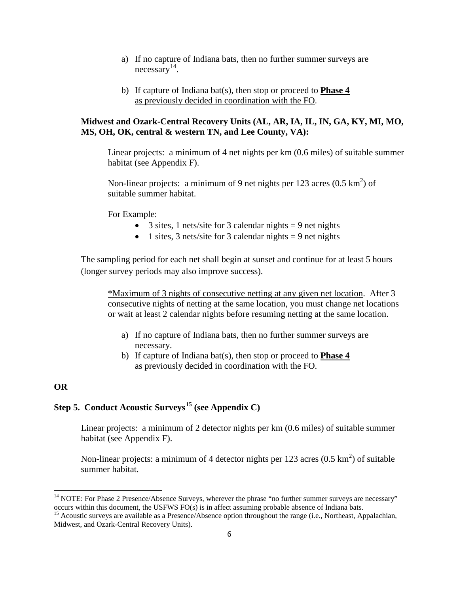- a) If no capture of Indiana bats, then no further summer surveys are necessary [14](#page-5-0).
- b) If capture of Indiana bat(s), then stop or proceed to **Phase 4** as previously decided in coordination with the FO.

#### **Midwest and Ozark-Central Recovery Units (AL, AR, IA, IL, IN, GA, KY, MI, MO, MS, OH, OK, central & western TN, and Lee County, VA):**

Linear projects: a minimum of 4 net nights per km (0.6 miles) of suitable summer habitat (see Appendix F).

Non-linear projects: a minimum of 9 net nights per 123 acres  $(0.5 \text{ km}^2)$  of suitable summer habitat.

For Example:

- 3 sites, 1 nets/site for 3 calendar nights  $= 9$  net nights
- 1 sites, 3 nets/site for 3 calendar nights  $= 9$  net nights

The sampling period for each net shall begin at sunset and continue for at least 5 hours (longer survey periods may also improve success).

\*Maximum of 3 nights of consecutive netting at any given net location. After 3 consecutive nights of netting at the same location, you must change net locations or wait at least 2 calendar nights before resuming netting at the same location.

- a) If no capture of Indiana bats, then no further summer surveys are necessary.
- b) If capture of Indiana bat(s), then stop or proceed to **Phase 4** as previously decided in coordination with the FO.

#### **OR**

# **Step 5. Conduct Acoustic Surveys[15](#page-5-1) (see Appendix C)**

Linear projects: a minimum of 2 detector nights per km (0.6 miles) of suitable summer habitat (see Appendix F).

Non-linear projects: a minimum of 4 detector nights per 123 acres  $(0.5 \text{ km}^2)$  of suitable summer habitat.

<span id="page-5-0"></span><sup>&</sup>lt;sup>14</sup> NOTE: For Phase 2 Presence/Absence Surveys, wherever the phrase "no further summer surveys are necessary" occurs within this document, the USFWS FO(s) is in affect assuming probable absence of Indiana bats.

<span id="page-5-1"></span><sup>&</sup>lt;sup>15</sup> Acoustic surveys are available as a Presence/Absence option throughout the range (i.e., Northeast, Appalachian, Midwest, and Ozark-Central Recovery Units).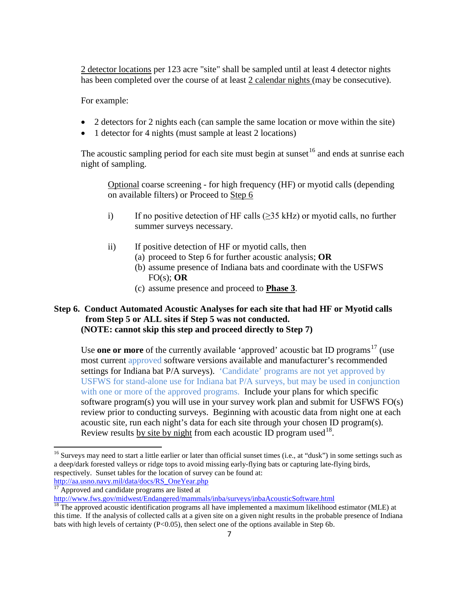2 detector locations per 123 acre "site" shall be sampled until at least 4 detector nights has been completed over the course of at least 2 calendar nights (may be consecutive).

For example:

- 2 detectors for 2 nights each (can sample the same location or move within the site)
- 1 detector for 4 nights (must sample at least 2 locations)

The acoustic sampling period for each site must begin at sunset  $16$  and ends at sunrise each night of sampling.

Optional coarse screening - for high frequency (HF) or myotid calls (depending on available filters) or Proceed to Step 6

- i) If no positive detection of HF calls ( $\geq$ 35 kHz) or myotid calls, no further summer surveys necessary.
- ii) If positive detection of HF or myotid calls, then
	- (a) proceed to Step 6 for further acoustic analysis; **OR**
	- (b) assume presence of Indiana bats and coordinate with the USFWS FO(s); **OR**
	- (c) assume presence and proceed to **Phase 3**.

### **Step 6. Conduct Automated Acoustic Analyses for each site that had HF or Myotid calls from Step 5 or ALL sites if Step 5 was not conducted. (NOTE: cannot skip this step and proceed directly to Step 7)**

Use **one or more** of the currently available 'approved' acoustic bat ID programs<sup>[17](#page-6-1)</sup> (use most current approved software versions available and manufacturer's recommended settings for Indiana bat P/A surveys). 'Candidate' programs are not yet approved by USFWS for stand-alone use for Indiana bat P/A surveys, but may be used in conjunction with one or more of the approved programs. Include your plans for which specific software program(s) you will use in your survey work plan and submit for USFWS FO(s) review prior to conducting surveys. Beginning with acoustic data from night one at each acoustic site, run each night's data for each site through your chosen ID program(s). Review results by site by night from each acoustic ID program used  $18$ .

<span id="page-6-0"></span><sup>&</sup>lt;sup>16</sup> Surveys may need to start a little earlier or later than official sunset times (i.e., at "dusk") in some settings such as a deep/dark forested valleys or ridge tops to avoid missing early-flying bats or capturing late-flying birds, respectively. Sunset tables for the location of survey can be found at:

[http://aa.usno.navy.mil/data/docs/RS\\_OneYear.php](http://aa.usno.navy.mil/data/docs/RS_OneYear.php) <sup>17</sup> Approved and candidate programs are listed at

<span id="page-6-2"></span><span id="page-6-1"></span><http://www.fws.gov/midwest/Endangered/mammals/inba/surveys/inbaAcousticSoftware.html><br><sup>18</sup> The approved acoustic identification programs all have implemented a maximum likelihood estimator (MLE) at this time. If the analysis of collected calls at a given site on a given night results in the probable presence of Indiana bats with high levels of certainty (P<0.05), then select one of the options available in Step 6b.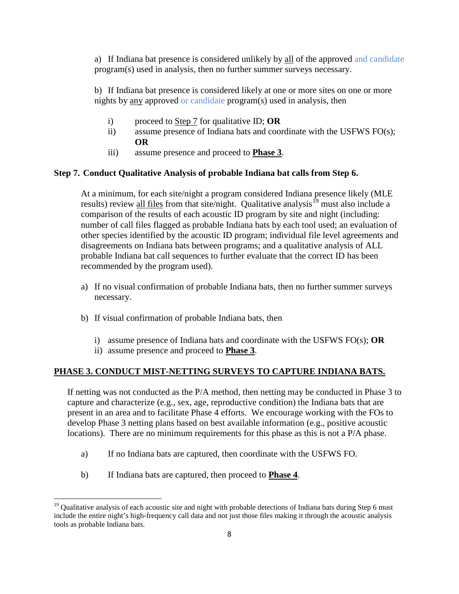a) If Indiana bat presence is considered unlikely by all of the approved and candidate program(s) used in analysis, then no further summer surveys necessary.

b) If Indiana bat presence is considered likely at one or more sites on one or more nights by any approved or candidate program(s) used in analysis, then

- i) proceed to Step 7 for qualitative ID; **OR**
- ii) assume presence of Indiana bats and coordinate with the USFWS FO(s); **OR**
- iii) assume presence and proceed to **Phase 3**.

### **Step 7. Conduct Qualitative Analysis of probable Indiana bat calls from Step 6.**

At a minimum, for each site/night a program considered Indiana presence likely (MLE results) review all files from that site/night. Qualitative analysis<sup>[19](#page-7-0)</sup> must also include a comparison of the results of each acoustic ID program by site and night (including: number of call files flagged as probable Indiana bats by each tool used; an evaluation of other species identified by the acoustic ID program; individual file level agreements and disagreements on Indiana bats between programs; and a qualitative analysis of ALL probable Indiana bat call sequences to further evaluate that the correct ID has been recommended by the program used).

- a) If no visual confirmation of probable Indiana bats, then no further summer surveys necessary.
- b) If visual confirmation of probable Indiana bats, then
	- i) assume presence of Indiana bats and coordinate with the USFWS FO(s); **OR**
	- ii) assume presence and proceed to **Phase 3**.

#### **PHASE 3. CONDUCT MIST-NETTING SURVEYS TO CAPTURE INDIANA BATS.**

If netting was not conducted as the P/A method, then netting may be conducted in Phase 3 to capture and characterize (e.g., sex, age, reproductive condition) the Indiana bats that are present in an area and to facilitate Phase 4 efforts. We encourage working with the FOs to develop Phase 3 netting plans based on best available information (e.g., positive acoustic locations). There are no minimum requirements for this phase as this is not a P/A phase.

- a) If no Indiana bats are captured, then coordinate with the USFWS FO.
- b) If Indiana bats are captured, then proceed to **Phase 4**.

<span id="page-7-0"></span><sup>&</sup>lt;sup>19</sup> Qualitative analysis of each acoustic site and night with probable detections of Indiana bats during Step 6 must include the entire night's high-frequency call data and not just those files making it through the acoustic analysis tools as probable Indiana bats.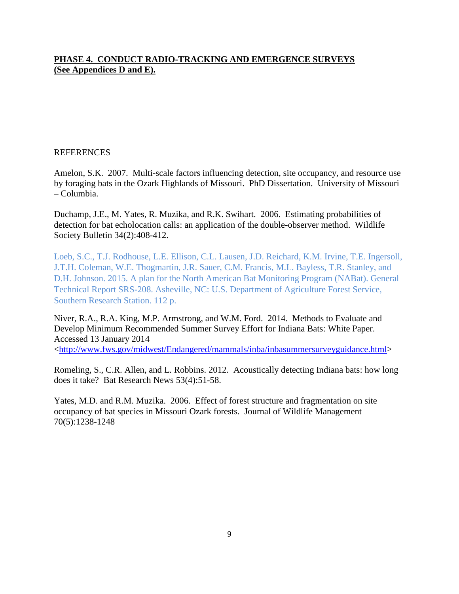### **PHASE 4. CONDUCT RADIO-TRACKING AND EMERGENCE SURVEYS (See Appendices D and E).**

#### **REFERENCES**

Amelon, S.K. 2007. Multi-scale factors influencing detection, site occupancy, and resource use by foraging bats in the Ozark Highlands of Missouri. PhD Dissertation. University of Missouri – Columbia.

Duchamp, J.E., M. Yates, R. Muzika, and R.K. Swihart. 2006. Estimating probabilities of detection for bat echolocation calls: an application of the double-observer method. Wildlife Society Bulletin 34(2):408-412.

Loeb, S.C., T.J. Rodhouse, L.E. Ellison, C.L. Lausen, J.D. Reichard, K.M. Irvine, T.E. Ingersoll, J.T.H. Coleman, W.E. Thogmartin, J.R. Sauer, C.M. Francis, M.L. Bayless, T.R. Stanley, and D.H. Johnson. 2015. A plan for the North American Bat Monitoring Program (NABat). General Technical Report SRS-208. Asheville, NC: U.S. Department of Agriculture Forest Service, Southern Research Station. 112 p.

Niver, R.A., R.A. King, M.P. Armstrong, and W.M. Ford. 2014. Methods to Evaluate and Develop Minimum Recommended Summer Survey Effort for Indiana Bats: White Paper. Accessed 13 January 2014 [<http://www.fws.gov/midwest/Endangered/mammals/inba/inbasummersurveyguidance.html>](http://www.fws.gov/midwest/Endangered/mammals/inba/inbasummersurveyguidance.html)

Romeling, S., C.R. Allen, and L. Robbins. 2012. Acoustically detecting Indiana bats: how long does it take? Bat Research News 53(4):51-58.

Yates, M.D. and R.M. Muzika. 2006. Effect of forest structure and fragmentation on site occupancy of bat species in Missouri Ozark forests. Journal of Wildlife Management 70(5):1238-1248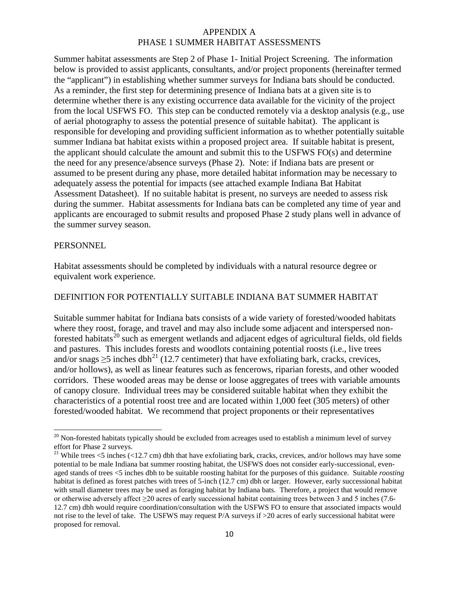Summer habitat assessments are Step 2 of Phase 1- Initial Project Screening. The information below is provided to assist applicants, consultants, and/or project proponents (hereinafter termed the "applicant") in establishing whether summer surveys for Indiana bats should be conducted. As a reminder, the first step for determining presence of Indiana bats at a given site is to determine whether there is any existing occurrence data available for the vicinity of the project from the local USFWS FO. This step can be conducted remotely via a desktop analysis (e.g., use of aerial photography to assess the potential presence of suitable habitat). The applicant is responsible for developing and providing sufficient information as to whether potentially suitable summer Indiana bat habitat exists within a proposed project area. If suitable habitat is present, the applicant should calculate the amount and submit this to the USFWS FO(s) and determine the need for any presence/absence surveys (Phase 2). Note: if Indiana bats are present or assumed to be present during any phase, more detailed habitat information may be necessary to adequately assess the potential for impacts (see attached example Indiana Bat Habitat Assessment Datasheet). If no suitable habitat is present, no surveys are needed to assess risk during the summer. Habitat assessments for Indiana bats can be completed any time of year and applicants are encouraged to submit results and proposed Phase 2 study plans well in advance of the summer survey season.

#### **PERSONNEL**

Habitat assessments should be completed by individuals with a natural resource degree or equivalent work experience.

#### DEFINITION FOR POTENTIALLY SUITABLE INDIANA BAT SUMMER HABITAT

Suitable summer habitat for Indiana bats consists of a wide variety of forested/wooded habitats where they roost, forage, and travel and may also include some adjacent and interspersed non-forested habitats<sup>[20](#page-9-0)</sup> such as emergent wetlands and adjacent edges of agricultural fields, old fields and pastures. This includes forests and woodlots containing potential roosts (i.e., live trees and/or snags  $\geq$ 5 inches dbh<sup>[21](#page-9-1)</sup> (12.7 centimeter) that have exfoliating bark, cracks, crevices, and/or hollows), as well as linear features such as fencerows, riparian forests, and other wooded corridors. These wooded areas may be dense or loose aggregates of trees with variable amounts of canopy closure. Individual trees may be considered suitable habitat when they exhibit the characteristics of a potential roost tree and are located within 1,000 feet (305 meters) of other forested/wooded habitat. We recommend that project proponents or their representatives

<span id="page-9-0"></span> $20$  Non-forested habitats typically should be excluded from acreages used to establish a minimum level of survey effort for Phase 2 surveys.

<span id="page-9-1"></span><sup>&</sup>lt;sup>21</sup> While trees  $\lt 5$  inches ( $\lt 12.7$  cm) dbh that have exfoliating bark, cracks, crevices, and/or hollows may have some potential to be male Indiana bat summer roosting habitat, the USFWS does not consider early-successional, evenaged stands of trees <5 inches dbh to be suitable roosting habitat for the purposes of this guidance. Suitable *roosting* habitat is defined as forest patches with trees of 5-inch (12.7 cm) dbh or larger. However, early successional habitat with small diameter trees may be used as foraging habitat by Indiana bats. Therefore, a project that would remove or otherwise adversely affect ≥20 acres of early successional habitat containing trees between 3 and 5 inches (7.6- 12.7 cm) dbh would require coordination/consultation with the USFWS FO to ensure that associated impacts would not rise to the level of take. The USFWS may request P/A surveys if >20 acres of early successional habitat were proposed for removal.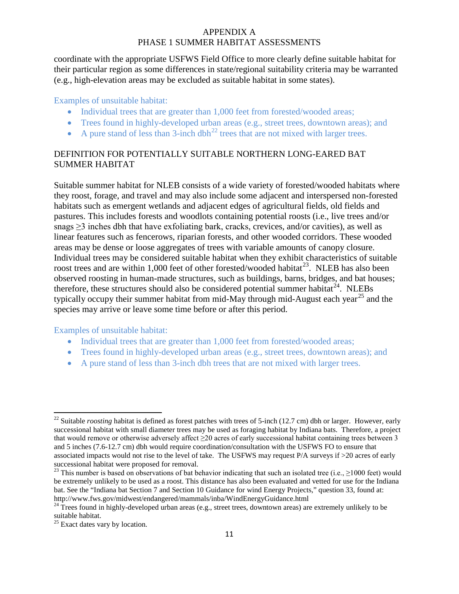coordinate with the appropriate USFWS Field Office to more clearly define suitable habitat for their particular region as some differences in state/regional suitability criteria may be warranted (e.g., high-elevation areas may be excluded as suitable habitat in some states).

#### Examples of unsuitable habitat:

- Individual trees that are greater than 1,000 feet from forested/wooded areas;
- Trees found in highly-developed urban areas (e.g., street trees, downtown areas); and
- A pure stand of less than  $3$ -inch dbh<sup>[22](#page-10-0)</sup> trees that are not mixed with larger trees.

### DEFINITION FOR POTENTIALLY SUITABLE NORTHERN LONG-EARED BAT SUMMER HABITAT

Suitable summer habitat for NLEB consists of a wide variety of forested/wooded habitats where they roost, forage, and travel and may also include some adjacent and interspersed non-forested habitats such as emergent wetlands and adjacent edges of agricultural fields, old fields and pastures. This includes forests and woodlots containing potential roosts (i.e., live trees and/or snags ≥3 inches dbh that have exfoliating bark, cracks, crevices, and/or cavities), as well as linear features such as fencerows, riparian forests, and other wooded corridors. These wooded areas may be dense or loose aggregates of trees with variable amounts of canopy closure. Individual trees may be considered suitable habitat when they exhibit characteristics of suitable roost trees and are within 1,000 feet of other forested/wooded habitat<sup>[23](#page-10-1)</sup>. NLEB has also been observed roosting in human-made structures, such as buildings, barns, bridges, and bat houses; therefore, these structures should also be considered potential summer habitat<sup>[24](#page-10-2)</sup>. NLEBs typically occupy their summer habitat from mid-May through mid-August each year<sup>[25](#page-10-3)</sup> and the species may arrive or leave some time before or after this period.

### Examples of unsuitable habitat:

- Individual trees that are greater than 1,000 feet from forested/wooded areas;
- Trees found in highly-developed urban areas (e.g., street trees, downtown areas); and
- A pure stand of less than 3-inch dbh trees that are not mixed with larger trees.

<span id="page-10-0"></span><sup>&</sup>lt;sup>22</sup> Suitable *roosting* habitat is defined as forest patches with trees of 5-inch (12.7 cm) dbh or larger. However, early successional habitat with small diameter trees may be used as foraging habitat by Indiana bats. Therefore, a project that would remove or otherwise adversely affect  $\geq$  20 acres of early successional habitat containing trees between 3 and 5 inches (7.6-12.7 cm) dbh would require coordination/consultation with the USFWS FO to ensure that associated impacts would not rise to the level of take. The USFWS may request P/A surveys if >20 acres of early successional habitat were proposed for removal.

<span id="page-10-1"></span><sup>&</sup>lt;sup>23</sup> This number is based on observations of bat behavior indicating that such an isolated tree (i.e.,  $\geq$ 1000 feet) would be extremely unlikely to be used as a roost. This distance has also been evaluated and vetted for use for the Indiana bat. See the "Indiana bat Section 7 and Section 10 Guidance for wind Energy Projects," question 33, found at: http://www.fws.gov/midwest/endangered/mammals/inba/WindEnergyGuidance.html <sup>24</sup> Trees found in highly-developed urban areas (e.g., street trees, downtown areas) are extremely unlikely to be

<span id="page-10-2"></span>suitable habitat.

<span id="page-10-3"></span> $25$  Exact dates vary by location.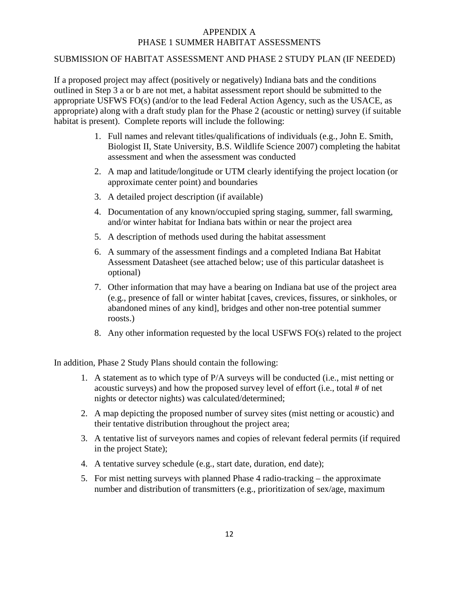### SUBMISSION OF HABITAT ASSESSMENT AND PHASE 2 STUDY PLAN (IF NEEDED)

If a proposed project may affect (positively or negatively) Indiana bats and the conditions outlined in Step 3 a or b are not met, a habitat assessment report should be submitted to the appropriate USFWS FO(s) (and/or to the lead Federal Action Agency, such as the USACE, as appropriate) along with a draft study plan for the Phase 2 (acoustic or netting) survey (if suitable habitat is present). Complete reports will include the following:

- 1. Full names and relevant titles/qualifications of individuals (e.g., John E. Smith, Biologist II, State University, B.S. Wildlife Science 2007) completing the habitat assessment and when the assessment was conducted
- 2. A map and latitude/longitude or UTM clearly identifying the project location (or approximate center point) and boundaries
- 3. A detailed project description (if available)
- 4. Documentation of any known/occupied spring staging, summer, fall swarming, and/or winter habitat for Indiana bats within or near the project area
- 5. A description of methods used during the habitat assessment
- 6. A summary of the assessment findings and a completed Indiana Bat Habitat Assessment Datasheet (see attached below; use of this particular datasheet is optional)
- 7. Other information that may have a bearing on Indiana bat use of the project area (e.g., presence of fall or winter habitat [caves, crevices, fissures, or sinkholes, or abandoned mines of any kind], bridges and other non-tree potential summer roosts.)
- 8. Any other information requested by the local USFWS FO(s) related to the project

In addition, Phase 2 Study Plans should contain the following:

- 1. A statement as to which type of P/A surveys will be conducted (i.e., mist netting or acoustic surveys) and how the proposed survey level of effort (i.e., total # of net nights or detector nights) was calculated/determined;
- 2. A map depicting the proposed number of survey sites (mist netting or acoustic) and their tentative distribution throughout the project area;
- 3. A tentative list of surveyors names and copies of relevant federal permits (if required in the project State);
- 4. A tentative survey schedule (e.g., start date, duration, end date);
- 5. For mist netting surveys with planned Phase 4 radio-tracking the approximate number and distribution of transmitters (e.g., prioritization of sex/age, maximum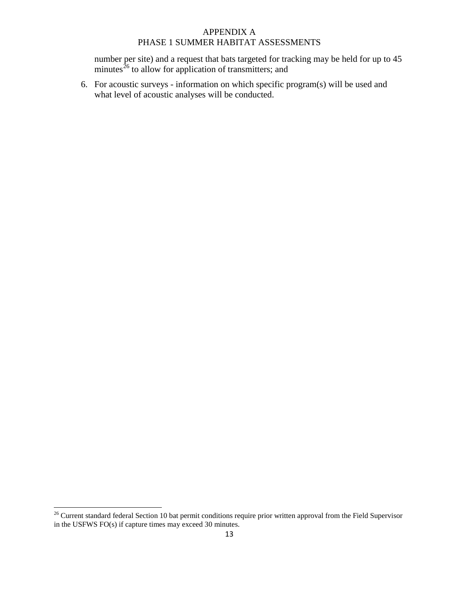number per site) and a request that bats targeted for tracking may be held for up to 45 minutes<sup>[26](#page-12-0)</sup> to allow for application of transmitters; and

6. For acoustic surveys - information on which specific program(s) will be used and what level of acoustic analyses will be conducted.

<span id="page-12-0"></span><sup>&</sup>lt;sup>26</sup> Current standard federal Section 10 bat permit conditions require prior written approval from the Field Supervisor in the USFWS FO(s) if capture times may exceed 30 minutes.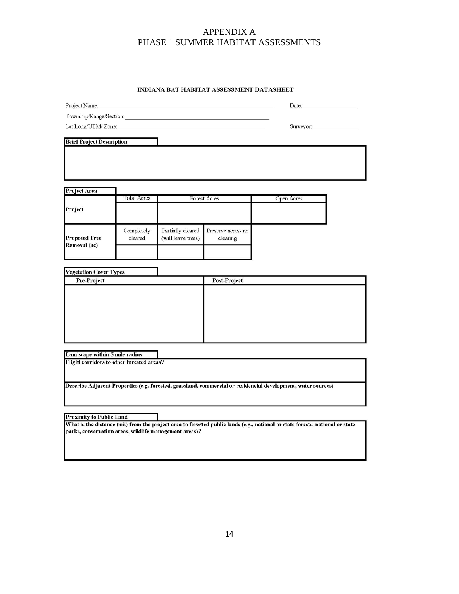#### INDIANA BAT HABITAT ASSESSMENT DATASHEET

|                                                                             |                    |                                                        |                    | Date:                                                                                                                         |  |  |
|-----------------------------------------------------------------------------|--------------------|--------------------------------------------------------|--------------------|-------------------------------------------------------------------------------------------------------------------------------|--|--|
|                                                                             | Project Name:      |                                                        |                    |                                                                                                                               |  |  |
| Lat Long/UTM/Zone:                                                          |                    |                                                        |                    | Surveyor:                                                                                                                     |  |  |
|                                                                             |                    |                                                        |                    |                                                                                                                               |  |  |
| <b>Brief Project Description</b>                                            |                    |                                                        |                    |                                                                                                                               |  |  |
|                                                                             |                    |                                                        |                    |                                                                                                                               |  |  |
|                                                                             |                    |                                                        |                    |                                                                                                                               |  |  |
|                                                                             |                    |                                                        |                    |                                                                                                                               |  |  |
|                                                                             |                    |                                                        |                    |                                                                                                                               |  |  |
| Project Area                                                                |                    |                                                        |                    |                                                                                                                               |  |  |
|                                                                             | <b>Total Acres</b> |                                                        | Forest Acres       | Open Acres                                                                                                                    |  |  |
| Project                                                                     |                    |                                                        |                    |                                                                                                                               |  |  |
|                                                                             |                    |                                                        |                    |                                                                                                                               |  |  |
|                                                                             | Completely         | Partially cleared                                      | Preserve acres- no |                                                                                                                               |  |  |
| <b>Proposed Tree</b>                                                        | cleared            | (will leave trees)                                     | clearing           |                                                                                                                               |  |  |
| Removal (ac)                                                                |                    |                                                        |                    |                                                                                                                               |  |  |
|                                                                             |                    |                                                        |                    |                                                                                                                               |  |  |
|                                                                             |                    |                                                        |                    |                                                                                                                               |  |  |
| <b>Vegetation Cover Types</b>                                               |                    |                                                        |                    |                                                                                                                               |  |  |
| Pre-Project                                                                 |                    |                                                        | Post-Project       |                                                                                                                               |  |  |
|                                                                             |                    |                                                        |                    |                                                                                                                               |  |  |
|                                                                             |                    |                                                        |                    |                                                                                                                               |  |  |
|                                                                             |                    |                                                        |                    |                                                                                                                               |  |  |
|                                                                             |                    |                                                        |                    |                                                                                                                               |  |  |
|                                                                             |                    |                                                        |                    |                                                                                                                               |  |  |
|                                                                             |                    |                                                        |                    |                                                                                                                               |  |  |
|                                                                             |                    |                                                        |                    |                                                                                                                               |  |  |
|                                                                             |                    |                                                        |                    |                                                                                                                               |  |  |
|                                                                             |                    |                                                        |                    |                                                                                                                               |  |  |
|                                                                             |                    |                                                        |                    |                                                                                                                               |  |  |
|                                                                             |                    |                                                        |                    |                                                                                                                               |  |  |
|                                                                             |                    |                                                        |                    |                                                                                                                               |  |  |
|                                                                             |                    |                                                        |                    | Describe Adjacent Properties (e.g. forested, grassland, commercial or residencial development, water sources)                 |  |  |
| Landscape within 5 mile radius<br>Flight corridors to other forested areas? |                    |                                                        |                    |                                                                                                                               |  |  |
|                                                                             |                    |                                                        |                    |                                                                                                                               |  |  |
|                                                                             |                    |                                                        |                    |                                                                                                                               |  |  |
| <b>Proximity to Public Land</b>                                             |                    |                                                        |                    |                                                                                                                               |  |  |
|                                                                             |                    | parks, conservation areas, wildlife management areas)? |                    | What is the distance (mi.) from the project area to forested public lands (e.g., national or state forests, national or state |  |  |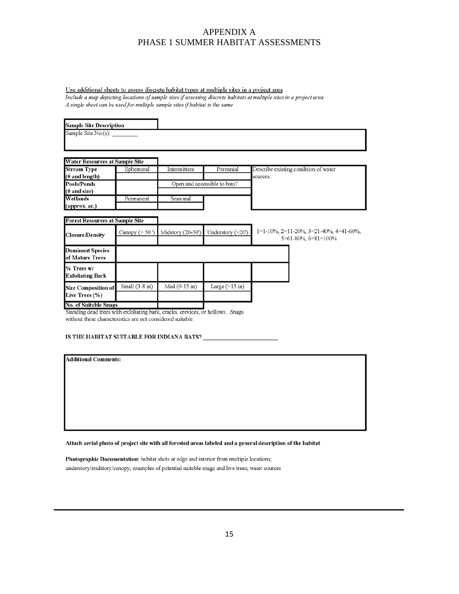#### Use additional sheets to assess discrete habitat types at multiple sites in a project area

Include a map depicting locations of sample sites if assessing discrete habitats at multiple sites in a project area A single sheet can be used for multiple sample sites if habitat is the same

| <b>Sample Site Description</b>                                                                                 |                    |                   |                              |                                                                                              |
|----------------------------------------------------------------------------------------------------------------|--------------------|-------------------|------------------------------|----------------------------------------------------------------------------------------------|
| Sample Site No.(s):                                                                                            |                    |                   |                              |                                                                                              |
| <b>Water Resources at Sample Site</b>                                                                          |                    |                   |                              |                                                                                              |
| <b>Stream Type</b><br>(# and length)                                                                           | Ephemeral          | Intermittent      | Perennial                    | Describe existing condition of water<br>sources:                                             |
| <b>Pools/Ponds</b><br>(# and size)                                                                             |                    |                   | Open and accessible to bats? |                                                                                              |
| Wetlands<br>(approx. ac.)                                                                                      | Permanent          | Seasonal          |                              |                                                                                              |
| <b>Forest Resources at Sample Site</b>                                                                         |                    |                   |                              |                                                                                              |
| <b>Closure/Density</b>                                                                                         | Canopy ( $> 50$ ') | Midstory (20-50') | Understory (<20')            | $1=1-10\%$ , $2=11-20\%$ , $3=21-40\%$ , $4=41-60\%$ ,<br>$5 = 61 - 80\%$ , $6 = 81 = 100\%$ |
| <b>Dominant Species</b><br>of Mature Trees                                                                     |                    |                   |                              |                                                                                              |
| $%$ Trees $w/$<br><b>Exfoliating Bark</b>                                                                      |                    |                   |                              |                                                                                              |
| <b>Size Composition of</b><br>Live Trees (%)                                                                   | Small $(3-8$ in)   | Med (9-15 in)     | Large $(>15 \text{ in})$     |                                                                                              |
| <b>No. of Suitable Snags</b><br>Standing dead trees with exfoliating bark, cracks, crevices, or hollows. Snags |                    |                   |                              |                                                                                              |

without these characteristics are not considered suitable.

#### 

#### **Additional Comments:**

Attach aerial photo of project site with all forested areas labeled and a general description of the habitat

Photographic Documentation: habitat shots at edge and interior from multiple locations; understory/midstory/canopy; examples of potential suitable snags and live trees; water sources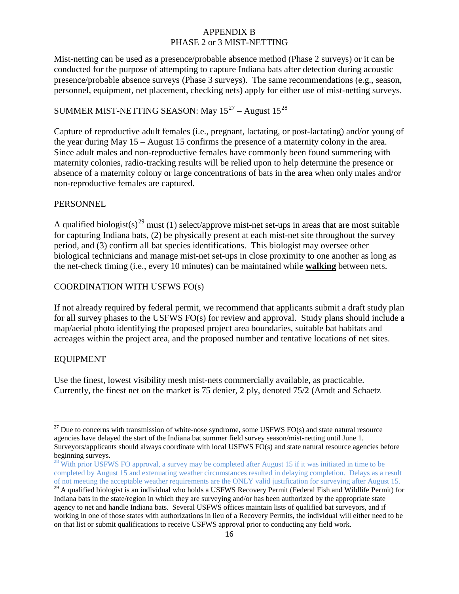Mist-netting can be used as a presence/probable absence method (Phase 2 surveys) or it can be conducted for the purpose of attempting to capture Indiana bats after detection during acoustic presence/probable absence surveys (Phase 3 surveys). The same recommendations (e.g., season, personnel, equipment, net placement, checking nets) apply for either use of mist-netting surveys.

# SUMMER MIST-NETTING SEASON: May  $15^{27}$  $15^{27}$  $15^{27}$  – August  $15^{28}$  $15^{28}$  $15^{28}$

Capture of reproductive adult females (i.e., pregnant, lactating, or post-lactating) and/or young of the year during May 15 – August 15 confirms the presence of a maternity colony in the area. Since adult males and non-reproductive females have commonly been found summering with maternity colonies, radio-tracking results will be relied upon to help determine the presence or absence of a maternity colony or large concentrations of bats in the area when only males and/or non-reproductive females are captured.

### PERSONNEL

A qualified biologist(s)<sup>[29](#page-15-2)</sup> must (1) select/approve mist-net set-ups in areas that are most suitable for capturing Indiana bats, (2) be physically present at each mist-net site throughout the survey period, and (3) confirm all bat species identifications. This biologist may oversee other biological technicians and manage mist-net set-ups in close proximity to one another as long as the net-check timing (i.e., every 10 minutes) can be maintained while **walking** between nets.

### COORDINATION WITH USFWS FO(s)

If not already required by federal permit, we recommend that applicants submit a draft study plan for all survey phases to the USFWS FO(s) for review and approval. Study plans should include a map/aerial photo identifying the proposed project area boundaries, suitable bat habitats and acreages within the project area, and the proposed number and tentative locations of net sites.

### EQUIPMENT

Use the finest, lowest visibility mesh mist-nets commercially available, as practicable. Currently, the finest net on the market is 75 denier, 2 ply, denoted 75/2 (Arndt and Schaetz

<span id="page-15-0"></span> $27$  Due to concerns with transmission of white-nose syndrome, some USFWS FO(s) and state natural resource agencies have delayed the start of the Indiana bat summer field survey season/mist-netting until June 1. Surveyors/applicants should always coordinate with local USFWS FO(s) and state natural resource agencies before beginning surveys.

<span id="page-15-1"></span><sup>&</sup>lt;sup>28</sup> With prior USFWS FO approval, a survey may be completed after August 15 if it was initiated in time to be completed by August 15 and extenuating weather circumstances resulted in delaying completion. Delays as a result of not meeting the acceptable weather requirements are the ONLY valid justification for surveying after August 15.

<span id="page-15-2"></span><sup>&</sup>lt;sup>29</sup> A qualified biologist is an individual who holds a USFWS Recovery Permit (Federal Fish and Wildlife Permit) for Indiana bats in the state/region in which they are surveying and/or has been authorized by the appropriate state agency to net and handle Indiana bats. Several USFWS offices maintain lists of qualified bat surveyors, and if working in one of those states with authorizations in lieu of a Recovery Permits, the individual will either need to be on that list or submit qualifications to receive USFWS approval prior to conducting any field work.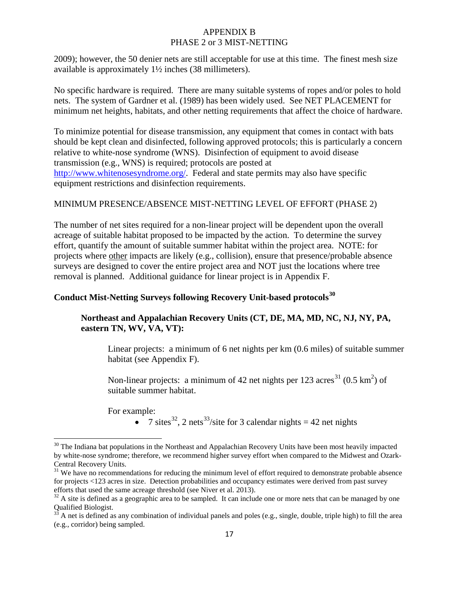2009); however, the 50 denier nets are still acceptable for use at this time. The finest mesh size available is approximately 1½ inches (38 millimeters).

No specific hardware is required. There are many suitable systems of ropes and/or poles to hold nets. The system of Gardner et al. (1989) has been widely used. See NET PLACEMENT for minimum net heights, habitats, and other netting requirements that affect the choice of hardware.

To minimize potential for disease transmission, any equipment that comes in contact with bats should be kept clean and disinfected, following approved protocols; this is particularly a concern relative to white-nose syndrome (WNS). Disinfection of equipment to avoid disease transmission (e.g., WNS) is required; protocols are posted at [http://www.whitenosesyndrome.org/.](http://www.whitenosesyndrome.org/) Federal and state permits may also have specific equipment restrictions and disinfection requirements.

### MINIMUM PRESENCE/ABSENCE MIST-NETTING LEVEL OF EFFORT (PHASE 2)

The number of net sites required for a non-linear project will be dependent upon the overall acreage of suitable habitat proposed to be impacted by the action. To determine the survey effort, quantify the amount of suitable summer habitat within the project area. NOTE: for projects where other impacts are likely (e.g., collision), ensure that presence/probable absence surveys are designed to cover the entire project area and NOT just the locations where tree removal is planned. Additional guidance for linear project is in Appendix F.

# **Conduct Mist-Netting Surveys following Recovery Unit-based protocols[30](#page-16-0)**

### **Northeast and Appalachian Recovery Units (CT, DE, MA, MD, NC, NJ, NY, PA, eastern TN, WV, VA, VT):**

Linear projects: a minimum of 6 net nights per km (0.6 miles) of suitable summer habitat (see Appendix F).

Non-linear projects: a minimum of 42 net nights per 123 acres<sup>[31](#page-16-1)</sup> (0.5  $\text{km}^2$ ) of suitable summer habitat.

For example:

• 7 sites<sup>[32](#page-16-2)</sup>, 2 nets<sup>33</sup>/site for 3 calendar nights = 42 net nights

<span id="page-16-0"></span> $30$  The Indiana bat populations in the Northeast and Appalachian Recovery Units have been most heavily impacted by white-nose syndrome; therefore, we recommend higher survey effort when compared to the Midwest and Ozark-

<span id="page-16-1"></span> $31$  We have no recommendations for reducing the minimum level of effort required to demonstrate probable absence for projects <123 acres in size. Detection probabilities and occupancy estimates were derived from past survey efforts that used the same acreage threshold (see Niver et al. 2013).

<span id="page-16-2"></span> $32$  A site is defined as a geographic area to be sampled. It can include one or more nets that can be managed by one Qualified Biologist.

<span id="page-16-3"></span>A net is defined as any combination of individual panels and poles (e.g., single, double, triple high) to fill the area (e.g., corridor) being sampled.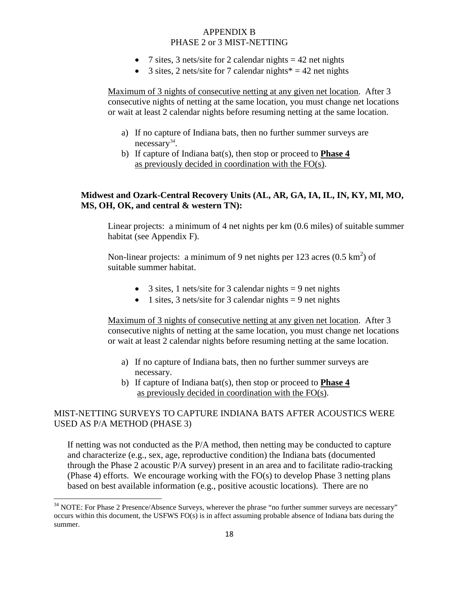- 7 sites, 3 nets/site for 2 calendar nights  $= 42$  net nights
- 3 sites, 2 nets/site for 7 calendar nights  $* = 42$  net nights

Maximum of 3 nights of consecutive netting at any given net location. After 3 consecutive nights of netting at the same location, you must change net locations or wait at least 2 calendar nights before resuming netting at the same location.

- a) If no capture of Indiana bats, then no further summer surveys are necessary<sup>34</sup>.
- b) If capture of Indiana bat(s), then stop or proceed to **Phase 4** as previously decided in coordination with the FO(s).

### **Midwest and Ozark-Central Recovery Units (AL, AR, GA, IA, IL, IN, KY, MI, MO, MS, OH, OK, and central & western TN):**

Linear projects: a minimum of 4 net nights per km (0.6 miles) of suitable summer habitat (see Appendix F).

Non-linear projects: a minimum of 9 net nights per 123 acres  $(0.5 \text{ km}^2)$  of suitable summer habitat.

- 3 sites, 1 nets/site for 3 calendar nights  $= 9$  net nights
- 1 sites, 3 nets/site for 3 calendar nights  $= 9$  net nights

Maximum of 3 nights of consecutive netting at any given net location. After 3 consecutive nights of netting at the same location, you must change net locations or wait at least 2 calendar nights before resuming netting at the same location.

- a) If no capture of Indiana bats, then no further summer surveys are necessary.
- b) If capture of Indiana bat(s), then stop or proceed to **Phase 4** as previously decided in coordination with the FO(s).

### MIST-NETTING SURVEYS TO CAPTURE INDIANA BATS AFTER ACOUSTICS WERE USED AS P/A METHOD (PHASE 3)

If netting was not conducted as the P/A method, then netting may be conducted to capture and characterize (e.g., sex, age, reproductive condition) the Indiana bats (documented through the Phase 2 acoustic P/A survey) present in an area and to facilitate radio-tracking (Phase 4) efforts. We encourage working with the FO(s) to develop Phase 3 netting plans based on best available information (e.g., positive acoustic locations). There are no

<span id="page-17-0"></span><sup>&</sup>lt;sup>34</sup> NOTE: For Phase 2 Presence/Absence Surveys, wherever the phrase "no further summer surveys are necessary" occurs within this document, the USFWS FO(s) is in affect assuming probable absence of Indiana bats during the summer.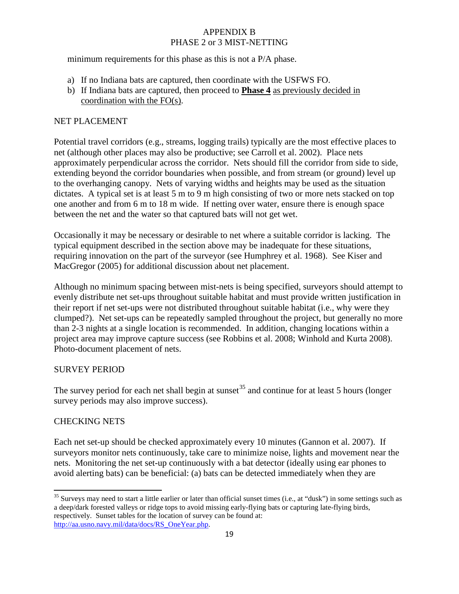minimum requirements for this phase as this is not a P/A phase.

- a) If no Indiana bats are captured, then coordinate with the USFWS FO.
- b) If Indiana bats are captured, then proceed to **Phase 4** as previously decided in coordination with the FO(s).

### NET PLACEMENT

Potential travel corridors (e.g., streams, logging trails) typically are the most effective places to net (although other places may also be productive; see Carroll et al. 2002). Place nets approximately perpendicular across the corridor. Nets should fill the corridor from side to side, extending beyond the corridor boundaries when possible, and from stream (or ground) level up to the overhanging canopy. Nets of varying widths and heights may be used as the situation dictates. A typical set is at least 5 m to 9 m high consisting of two or more nets stacked on top one another and from 6 m to 18 m wide. If netting over water, ensure there is enough space between the net and the water so that captured bats will not get wet.

Occasionally it may be necessary or desirable to net where a suitable corridor is lacking. The typical equipment described in the section above may be inadequate for these situations, requiring innovation on the part of the surveyor (see Humphrey et al. 1968). See Kiser and MacGregor (2005) for additional discussion about net placement.

Although no minimum spacing between mist-nets is being specified, surveyors should attempt to evenly distribute net set-ups throughout suitable habitat and must provide written justification in their report if net set-ups were not distributed throughout suitable habitat (i.e., why were they clumped?). Net set-ups can be repeatedly sampled throughout the project, but generally no more than 2-3 nights at a single location is recommended. In addition, changing locations within a project area may improve capture success (see Robbins et al. 2008; Winhold and Kurta 2008). Photo-document placement of nets.

### SURVEY PERIOD

The survey period for each net shall begin at sunset<sup>[35](#page-18-0)</sup> and continue for at least 5 hours (longer survey periods may also improve success).

### CHECKING NETS

Each net set-up should be checked approximately every 10 minutes (Gannon et al. 2007). If surveyors monitor nets continuously, take care to minimize noise, lights and movement near the nets. Monitoring the net set-up continuously with a bat detector (ideally using ear phones to avoid alerting bats) can be beneficial: (a) bats can be detected immediately when they are

<span id="page-18-0"></span> $35$  Surveys may need to start a little earlier or later than official sunset times (i.e., at "dusk") in some settings such as a deep/dark forested valleys or ridge tops to avoid missing early-flying bats or capturing late-flying birds, respectively. Sunset tables for the location of survey can be found at: [http://aa.usno.navy.mil/data/docs/RS\\_OneYear.php.](http://aa.usno.navy.mil/data/docs/RS_OneYear.php)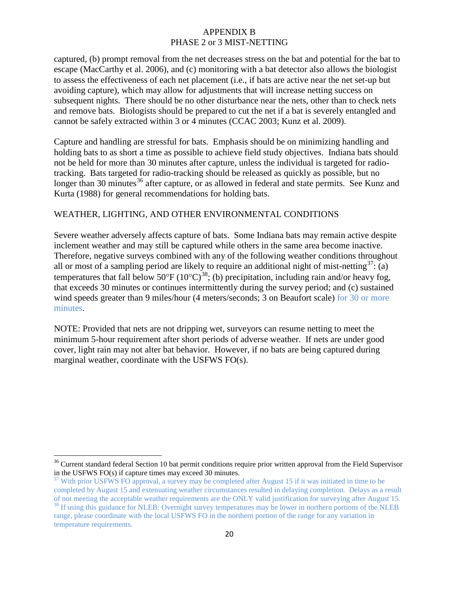captured, (b) prompt removal from the net decreases stress on the bat and potential for the bat to escape (MacCarthy et al. 2006), and (c) monitoring with a bat detector also allows the biologist to assess the effectiveness of each net placement (i.e., if bats are active near the net set-up but avoiding capture), which may allow for adjustments that will increase netting success on subsequent nights. There should be no other disturbance near the nets, other than to check nets and remove bats. Biologists should be prepared to cut the net if a bat is severely entangled and cannot be safely extracted within 3 or 4 minutes (CCAC 2003; Kunz et al. 2009).

Capture and handling are stressful for bats. Emphasis should be on minimizing handling and holding bats to as short a time as possible to achieve field study objectives. Indiana bats should not be held for more than 30 minutes after capture, unless the individual is targeted for radiotracking. Bats targeted for radio-tracking should be released as quickly as possible, but no longer than 30 minutes<sup>[36](#page-19-0)</sup> after capture, or as allowed in federal and state permits. See Kunz and Kurta (1988) for general recommendations for holding bats.

### WEATHER, LIGHTING, AND OTHER ENVIRONMENTAL CONDITIONS

Severe weather adversely affects capture of bats. Some Indiana bats may remain active despite inclement weather and may still be captured while others in the same area become inactive. Therefore, negative surveys combined with any of the following weather conditions throughout all or most of a sampling period are likely to require an additional night of mist-netting<sup>[37](#page-19-1)</sup>: (a) temperatures that fall below 50 $^{\circ}$ F (10 $^{\circ}$ C)<sup>[38](#page-19-2)</sup>; (b) precipitation, including rain and/or heavy fog, that exceeds 30 minutes or continues intermittently during the survey period; and (c) sustained wind speeds greater than 9 miles/hour (4 meters/seconds; 3 on Beaufort scale) for 30 or more minutes.

NOTE: Provided that nets are not dripping wet, surveyors can resume netting to meet the minimum 5-hour requirement after short periods of adverse weather. If nets are under good cover, light rain may not alter bat behavior. However, if no bats are being captured during marginal weather, coordinate with the USFWS FO(s).

<span id="page-19-0"></span><sup>&</sup>lt;sup>36</sup> Current standard federal Section 10 bat permit conditions require prior written approval from the Field Supervisor in the USFWS FO(s) if capture times may exceed 30 minutes.

<span id="page-19-1"></span><sup>&</sup>lt;sup>37</sup> With prior USFWS FO approval, a survey may be completed after August 15 if it was initiated in time to be completed by August 15 and extenuating weather circumstances resulted in delaying completion. Delays as a result

<span id="page-19-2"></span>of not meeting the acceptable weather requirements are the ONLY valid justification for surveying after August 15.<br><sup>38</sup> If using this guidance for NLEB: Overnight survey temperatures may be lower in northern portions of th range, please coordinate with the local USFWS FO in the northern portion of the range for any variation in temperature requirements.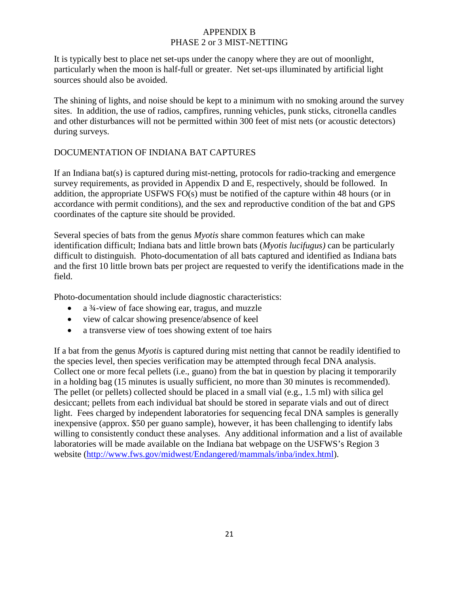It is typically best to place net set-ups under the canopy where they are out of moonlight, particularly when the moon is half-full or greater. Net set-ups illuminated by artificial light sources should also be avoided.

The shining of lights, and noise should be kept to a minimum with no smoking around the survey sites. In addition, the use of radios, campfires, running vehicles, punk sticks, citronella candles and other disturbances will not be permitted within 300 feet of mist nets (or acoustic detectors) during surveys.

### DOCUMENTATION OF INDIANA BAT CAPTURES

If an Indiana bat(s) is captured during mist-netting, protocols for radio-tracking and emergence survey requirements, as provided in Appendix D and E, respectively, should be followed. In addition, the appropriate USFWS FO(s) must be notified of the capture within 48 hours (or in accordance with permit conditions), and the sex and reproductive condition of the bat and GPS coordinates of the capture site should be provided.

Several species of bats from the genus *Myotis* share common features which can make identification difficult; Indiana bats and little brown bats (*Myotis lucifugus)* can be particularly difficult to distinguish. Photo-documentation of all bats captured and identified as Indiana bats and the first 10 little brown bats per project are requested to verify the identifications made in the field.

Photo-documentation should include diagnostic characteristics:

- a ¾-view of face showing ear, tragus, and muzzle
- view of calcar showing presence/absence of keel
- a transverse view of toes showing extent of toe hairs

If a bat from the genus *Myotis* is captured during mist netting that cannot be readily identified to the species level, then species verification may be attempted through fecal DNA analysis. Collect one or more fecal pellets (i.e., guano) from the bat in question by placing it temporarily in a holding bag (15 minutes is usually sufficient, no more than 30 minutes is recommended). The pellet (or pellets) collected should be placed in a small vial (e.g., 1.5 ml) with silica gel desiccant; pellets from each individual bat should be stored in separate vials and out of direct light. Fees charged by independent laboratories for sequencing fecal DNA samples is generally inexpensive (approx. \$50 per guano sample), however, it has been challenging to identify labs willing to consistently conduct these analyses. Any additional information and a list of available laboratories will be made available on the Indiana bat webpage on the USFWS's Region 3 website [\(http://www.fws.gov/midwest/Endangered/mammals/inba/index.html\)](http://www.fws.gov/midwest/Endangered/mammals/inba/index.html).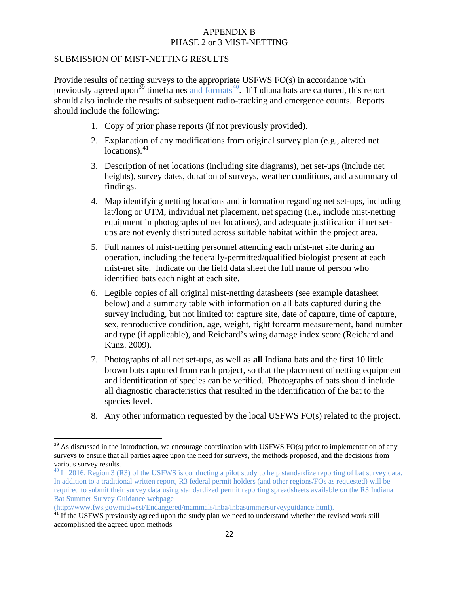#### SUBMISSION OF MIST-NETTING RESULTS

Provide results of netting surveys to the appropriate USFWS FO(s) in accordance with previously agreed upon<sup>[39](#page-21-0)</sup> timeframes and formats<sup>40</sup>. If Indiana bats are captured, this report should also include the results of subsequent radio-tracking and emergence counts. Reports should include the following:

- 1. Copy of prior phase reports (if not previously provided).
- 2. Explanation of any modifications from original survey plan (e.g., altered net locations).<sup>[41](#page-21-2)</sup>
- 3. Description of net locations (including site diagrams), net set-ups (include net heights), survey dates, duration of surveys, weather conditions, and a summary of findings.
- 4. Map identifying netting locations and information regarding net set-ups, including lat/long or UTM, individual net placement, net spacing (i.e., include mist-netting equipment in photographs of net locations), and adequate justification if net setups are not evenly distributed across suitable habitat within the project area.
- 5. Full names of mist-netting personnel attending each mist-net site during an operation, including the federally-permitted/qualified biologist present at each mist-net site. Indicate on the field data sheet the full name of person who identified bats each night at each site.
- 6. Legible copies of all original mist-netting datasheets (see example datasheet below) and a summary table with information on all bats captured during the survey including, but not limited to: capture site, date of capture, time of capture, sex, reproductive condition, age, weight, right forearm measurement, band number and type (if applicable), and Reichard's wing damage index score (Reichard and Kunz. 2009).
- 7. Photographs of all net set-ups, as well as **all** Indiana bats and the first 10 little brown bats captured from each project, so that the placement of netting equipment and identification of species can be verified. Photographs of bats should include all diagnostic characteristics that resulted in the identification of the bat to the species level.
- 8. Any other information requested by the local USFWS FO(s) related to the project.

<span id="page-21-0"></span> $39$  As discussed in the Introduction, we encourage coordination with USFWS FO(s) prior to implementation of any surveys to ensure that all parties agree upon the need for surveys, the methods proposed, and the decisions from various survey results.<br><sup>40</sup> In 2016, Region 3 (R3) of the USFWS is conducting a pilot study to help standardize reporting of bat survey data.

<span id="page-21-1"></span>In addition to a traditional written report, R3 federal permit holders (and other regions/FOs as requested) will be required to submit their survey data using standardized permit reporting spreadsheets available on the R3 Indiana Bat Summer Survey Guidance webpage

<sup>(</sup>http://www.fws.gov/midwest/Endangered/mammals/inba/inbasummersurveyguidance.html).

<span id="page-21-2"></span> $41$  If the USFWS previously agreed upon the study plan we need to understand whether the revised work still accomplished the agreed upon methods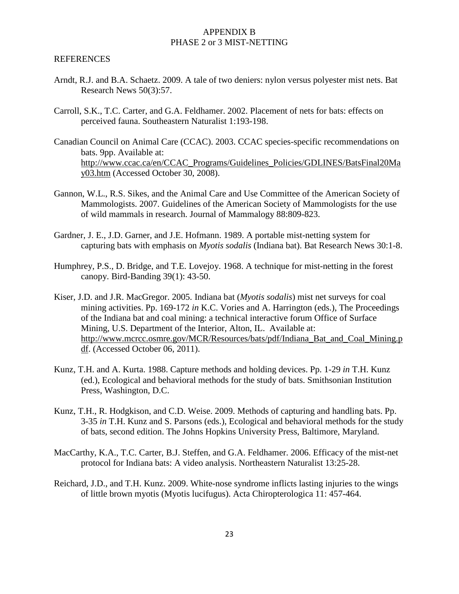#### REFERENCES

- Arndt, R.J. and B.A. Schaetz. 2009. A tale of two deniers: nylon versus polyester mist nets. Bat Research News 50(3):57.
- Carroll, S.K., T.C. Carter, and G.A. Feldhamer. 2002. Placement of nets for bats: effects on perceived fauna. Southeastern Naturalist 1:193-198.
- Canadian Council on Animal Care (CCAC). 2003. CCAC species-specific recommendations on bats. 9pp. Available at: [http://www.ccac.ca/en/CCAC\\_Programs/Guidelines\\_Policies/GDLINES/BatsFinal20Ma](http://www.ccac.ca/en/CCAC_Programs/Guidelines_Policies/GDLINES/BatsFinal20May03.htm) [y03.htm](http://www.ccac.ca/en/CCAC_Programs/Guidelines_Policies/GDLINES/BatsFinal20May03.htm) (Accessed October 30, 2008).
- Gannon, W.L., R.S. Sikes, and the Animal Care and Use Committee of the American Society of Mammologists. 2007. Guidelines of the American Society of Mammologists for the use of wild mammals in research. Journal of Mammalogy 88:809-823.
- Gardner, J. E., J.D. Garner, and J.E. Hofmann. 1989. A portable mist-netting system for capturing bats with emphasis on *Myotis sodalis* (Indiana bat). Bat Research News 30:1-8.
- Humphrey, P.S., D. Bridge, and T.E. Lovejoy. 1968. A technique for mist-netting in the forest canopy. Bird-Banding 39(1): 43-50.
- Kiser, J.D. and J.R. MacGregor. 2005. Indiana bat (*Myotis sodalis*) mist net surveys for coal mining activities. Pp. 169-172 *in* K.C. Vories and A. Harrington (eds.), The Proceedings of the Indiana bat and coal mining: a technical interactive forum Office of Surface Mining, U.S. Department of the Interior, Alton, IL. Available at: [http://www.mcrcc.osmre.gov/MCR/Resources/bats/pdf/Indiana\\_Bat\\_and\\_Coal\\_Mining.p](http://www.mcrcc.osmre.gov/MCR/Resources/bats/pdf/Indiana_Bat_and_Coal_Mining.pdf) [df.](http://www.mcrcc.osmre.gov/MCR/Resources/bats/pdf/Indiana_Bat_and_Coal_Mining.pdf) (Accessed October 06, 2011).
- Kunz, T.H. and A. Kurta. 1988. Capture methods and holding devices. Pp. 1-29 *in* T.H. Kunz (ed.), Ecological and behavioral methods for the study of bats. Smithsonian Institution Press, Washington, D.C.
- Kunz, T.H., R. Hodgkison, and C.D. Weise. 2009. Methods of capturing and handling bats. Pp. 3-35 *in* T.H. Kunz and S. Parsons (eds.), Ecological and behavioral methods for the study of bats, second edition. The Johns Hopkins University Press, Baltimore, Maryland.
- MacCarthy, K.A., T.C. Carter, B.J. Steffen, and G.A. Feldhamer. 2006. Efficacy of the mist-net protocol for Indiana bats: A video analysis. Northeastern Naturalist 13:25-28.
- Reichard, J.D., and T.H. Kunz. 2009. White-nose syndrome inflicts lasting injuries to the wings of little brown myotis (Myotis lucifugus). Acta Chiropterologica 11: 457-464.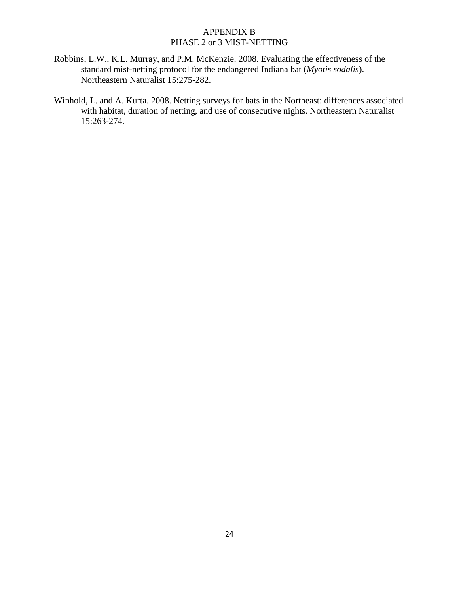- Robbins, L.W., K.L. Murray, and P.M. McKenzie. 2008. Evaluating the effectiveness of the standard mist-netting protocol for the endangered Indiana bat (*Myotis sodalis*). Northeastern Naturalist 15:275-282.
- Winhold, L. and A. Kurta. 2008. Netting surveys for bats in the Northeast: differences associated with habitat, duration of netting, and use of consecutive nights. Northeastern Naturalist 15:263-274.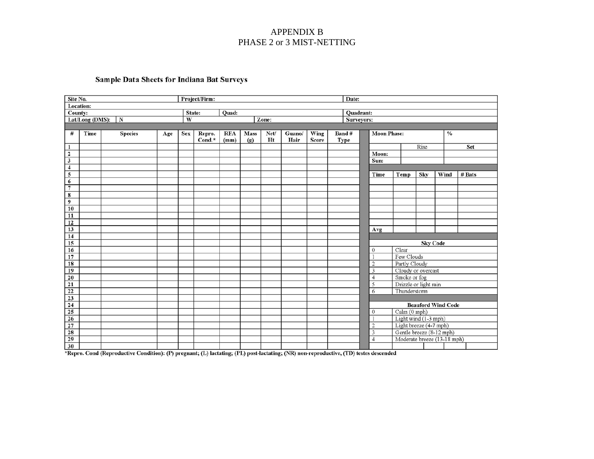### Sample Data Sheets for Indiana Bat Surveys

| Site No.                |                 |                |     |            | Project/Firm: |            |             |       |        |       | Date: |            |                         |                        |                 |                             |        |
|-------------------------|-----------------|----------------|-----|------------|---------------|------------|-------------|-------|--------|-------|-------|------------|-------------------------|------------------------|-----------------|-----------------------------|--------|
|                         | Location:       |                |     |            |               |            |             |       |        |       |       |            |                         |                        |                 |                             |        |
| County:                 |                 |                |     |            | State:        | Quad:      |             |       |        |       |       | Quadrant:  |                         |                        |                 |                             |        |
|                         | Lat/Long (DMS): | $\mathbf N$    |     | W          |               |            |             | Zone: |        |       |       | Surveyors: |                         |                        |                 |                             |        |
|                         |                 |                |     |            |               |            |             |       |        |       |       |            |                         |                        |                 |                             |        |
| #                       | Time            | <b>Species</b> | Age | <b>Sex</b> | Repro.        | <b>RFA</b> | <b>Mass</b> | Net/  | Guano/ | Wing  | Band# |            | <b>Moon Phase:</b>      |                        |                 | $\frac{0}{0}$               |        |
|                         |                 |                |     |            | Cond.*        | (mm)       | (g)         | Ht    | Hair   | Score | Type  |            |                         |                        |                 |                             |        |
| 1                       |                 |                |     |            |               |            |             |       |        |       |       |            |                         |                        | Rise            |                             | Set    |
| $\overline{\mathbf{2}}$ |                 |                |     |            |               |            |             |       |        |       |       |            | Moon:                   |                        |                 |                             |        |
| 3                       |                 |                |     |            |               |            |             |       |        |       |       |            | Sun:                    |                        |                 |                             |        |
| $\overline{\mathbf{4}}$ |                 |                |     |            |               |            |             |       |        |       |       |            |                         |                        |                 |                             |        |
| 5                       |                 |                |     |            |               |            |             |       |        |       |       |            | Time                    | Temp                   | Sky             | Wind                        | # Bats |
| 6                       |                 |                |     |            |               |            |             |       |        |       |       |            |                         |                        |                 |                             |        |
| $\overline{7}$          |                 |                |     |            |               |            |             |       |        |       |       |            |                         |                        |                 |                             |        |
| 8<br>9                  |                 |                |     |            |               |            |             |       |        |       |       |            |                         |                        |                 |                             |        |
| 10                      |                 |                |     |            |               |            |             |       |        |       |       |            |                         |                        |                 |                             |        |
|                         |                 |                |     |            |               |            |             |       |        |       |       |            |                         |                        |                 |                             |        |
| 11<br>12                |                 |                |     |            |               |            |             |       |        |       |       |            |                         |                        |                 |                             |        |
| 13                      |                 |                |     |            |               |            |             |       |        |       |       |            | Avg                     |                        |                 |                             |        |
| 14                      |                 |                |     |            |               |            |             |       |        |       |       |            |                         |                        |                 |                             |        |
| 15                      |                 |                |     |            |               |            |             |       |        |       |       |            |                         |                        | <b>Sky Code</b> |                             |        |
| 16                      |                 |                |     |            |               |            |             |       |        |       |       |            | $\theta$                | Clear                  |                 |                             |        |
| 17                      |                 |                |     |            |               |            |             |       |        |       |       |            | $\mathbf{1}$            | Few Clouds             |                 |                             |        |
| 18                      |                 |                |     |            |               |            |             |       |        |       |       |            | $\overline{2}$          | Partly Cloudy          |                 |                             |        |
| 19                      |                 |                |     |            |               |            |             |       |        |       |       |            | 3                       | Cloudy or overcast     |                 |                             |        |
| 20                      |                 |                |     |            |               |            |             |       |        |       |       |            | $\overline{4}$          | Smoke or fog           |                 |                             |        |
| 21                      |                 |                |     |            |               |            |             |       |        |       |       |            | 5                       | Drizzle or light rain  |                 |                             |        |
| 22                      |                 |                |     |            |               |            |             |       |        |       |       |            | 6                       | Thunderstorm           |                 |                             |        |
| 23                      |                 |                |     |            |               |            |             |       |        |       |       |            |                         |                        |                 |                             |        |
| 24                      |                 |                |     |            |               |            |             |       |        |       |       |            |                         |                        |                 | <b>Beauford Wind Code</b>   |        |
| 25                      |                 |                |     |            |               |            |             |       |        |       |       |            | $\mathbf{0}$            | Calm (0 mph)           |                 |                             |        |
| 26                      |                 |                |     |            |               |            |             |       |        |       |       |            | $\mathbf{1}$            | Light wind (1-3 mph)   |                 |                             |        |
| 27                      |                 |                |     |            |               |            |             |       |        |       |       |            | $\overline{2}$          | Light breeze (4-7 mph) |                 |                             |        |
| 28                      |                 |                |     |            |               |            |             |       |        |       |       |            | $\overline{\mathbf{3}}$ |                        |                 | Gentle breeze (8-12 mph)    |        |
| 29                      |                 |                |     |            |               |            |             |       |        |       |       |            | $\overline{4}$          |                        |                 | Moderate breeze (13-18 mph) |        |
| 30                      |                 |                |     |            |               |            |             |       |        |       |       |            |                         |                        |                 |                             |        |

\*Repro. Cond (Reproductive Condition): (P) pregnant; (L) lactating; (PL) post-lactating; (NR) non-reproductive, (TD) testes descended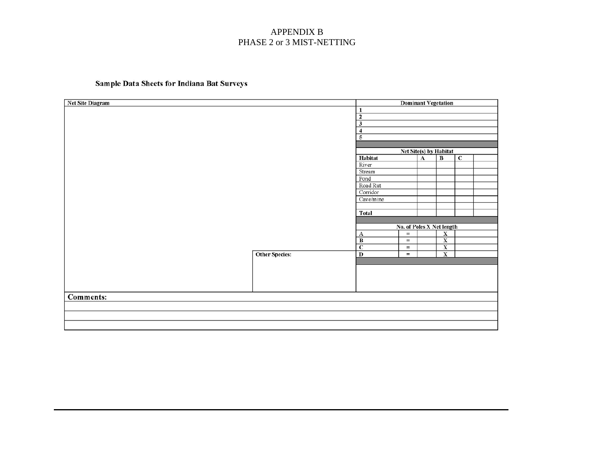### Sample Data Sheets for Indiana Bat Surveys

| <b>Net Site Diagram</b> |                       |                         | <b>Dominant Vegetation</b> |                         |                |  |
|-------------------------|-----------------------|-------------------------|----------------------------|-------------------------|----------------|--|
|                         |                       | 1                       |                            |                         |                |  |
|                         |                       | $\overline{2}$          |                            |                         |                |  |
|                         |                       | $\mathbf{3}$            |                            |                         |                |  |
|                         |                       | $\overline{4}$          |                            |                         |                |  |
|                         |                       | 5                       |                            |                         |                |  |
|                         |                       |                         |                            |                         |                |  |
|                         |                       |                         | Net Site(s) by Habitat     |                         |                |  |
|                         |                       | Habitat                 | $\boldsymbol{\Lambda}$     | $\overline{B}$          | $\overline{c}$ |  |
|                         |                       | River                   |                            |                         |                |  |
|                         |                       | Stream                  |                            |                         |                |  |
|                         |                       | Pond                    |                            |                         |                |  |
|                         |                       | Road Rut                |                            |                         |                |  |
|                         |                       | Corridor                |                            |                         |                |  |
|                         |                       | Cave/mine               |                            |                         |                |  |
|                         |                       |                         |                            |                         |                |  |
|                         |                       | <b>Total</b>            |                            |                         |                |  |
|                         |                       |                         |                            |                         |                |  |
|                         |                       |                         | No. of Poles X Net length  |                         |                |  |
|                         |                       | $\mathbf{A}$            | $=$                        | $\overline{\mathbf{X}}$ |                |  |
|                         |                       | $\, {\bf B}$            | $=$                        | $\mathbf X$             |                |  |
|                         |                       | $\overline{\mathbf{c}}$ | $=$                        | $\overline{\mathbf{X}}$ |                |  |
|                         | <b>Other Species:</b> | $\overline{D}$          | $=$                        | $\overline{\mathbf{X}}$ |                |  |
|                         |                       |                         |                            |                         |                |  |
|                         |                       |                         |                            |                         |                |  |
|                         |                       |                         |                            |                         |                |  |
|                         |                       |                         |                            |                         |                |  |
|                         |                       |                         |                            |                         |                |  |
| <b>Comments:</b>        |                       |                         |                            |                         |                |  |
|                         |                       |                         |                            |                         |                |  |
|                         |                       |                         |                            |                         |                |  |
|                         |                       |                         |                            |                         |                |  |
|                         |                       |                         |                            |                         |                |  |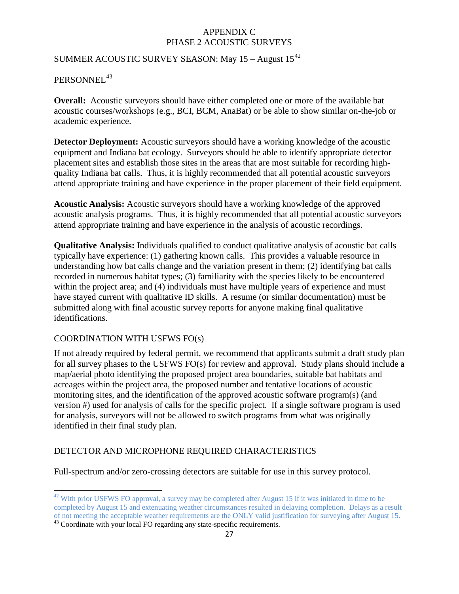### SUMMER ACOUSTIC SURVEY SEASON: May  $15 -$ August  $15^{42}$  $15^{42}$  $15^{42}$

### PERSONNEL<sup>[43](#page-26-1)</sup>

**Overall:** Acoustic surveyors should have either completed one or more of the available bat acoustic courses/workshops (e.g., BCI, BCM, AnaBat) or be able to show similar on-the-job or academic experience.

**Detector Deployment:** Acoustic surveyors should have a working knowledge of the acoustic equipment and Indiana bat ecology. Surveyors should be able to identify appropriate detector placement sites and establish those sites in the areas that are most suitable for recording highquality Indiana bat calls. Thus, it is highly recommended that all potential acoustic surveyors attend appropriate training and have experience in the proper placement of their field equipment.

**Acoustic Analysis:** Acoustic surveyors should have a working knowledge of the approved acoustic analysis programs. Thus, it is highly recommended that all potential acoustic surveyors attend appropriate training and have experience in the analysis of acoustic recordings.

**Qualitative Analysis:** Individuals qualified to conduct qualitative analysis of acoustic bat calls typically have experience: (1) gathering known calls. This provides a valuable resource in understanding how bat calls change and the variation present in them; (2) identifying bat calls recorded in numerous habitat types; (3) familiarity with the species likely to be encountered within the project area; and (4) individuals must have multiple years of experience and must have stayed current with qualitative ID skills. A resume (or similar documentation) must be submitted along with final acoustic survey reports for anyone making final qualitative identifications.

### COORDINATION WITH USFWS FO(s)

If not already required by federal permit, we recommend that applicants submit a draft study plan for all survey phases to the USFWS FO(s) for review and approval. Study plans should include a map/aerial photo identifying the proposed project area boundaries, suitable bat habitats and acreages within the project area, the proposed number and tentative locations of acoustic monitoring sites, and the identification of the approved acoustic software program(s) (and version #) used for analysis of calls for the specific project. If a single software program is used for analysis, surveyors will not be allowed to switch programs from what was originally identified in their final study plan.

### DETECTOR AND MICROPHONE REQUIRED CHARACTERISTICS

Full-spectrum and/or zero-crossing detectors are suitable for use in this survey protocol.

<span id="page-26-0"></span> $42$  With prior USFWS FO approval, a survey may be completed after August 15 if it was initiated in time to be completed by August 15 and extenuating weather circumstances resulted in delaying completion. Delays as a result of not meeting the acceptable weather requirements are the ONLY valid justification for surveying after August 15.

<span id="page-26-1"></span><sup>&</sup>lt;sup>43</sup> Coordinate with your local FO regarding any state-specific requirements.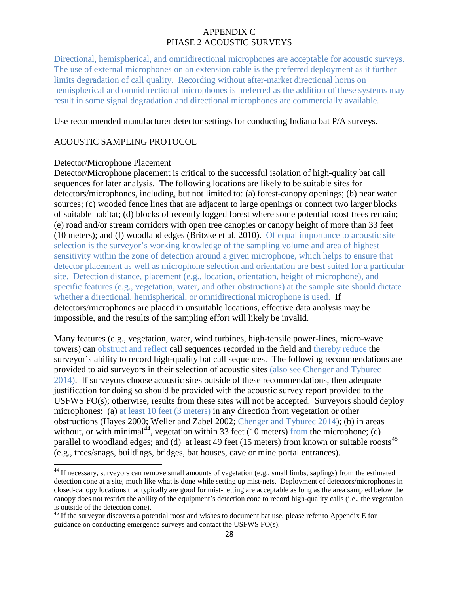Directional, hemispherical, and omnidirectional microphones are acceptable for acoustic surveys. The use of external microphones on an extension cable is the preferred deployment as it further limits degradation of call quality. Recording without after-market directional horns on hemispherical and omnidirectional microphones is preferred as the addition of these systems may result in some signal degradation and directional microphones are commercially available.

#### Use recommended manufacturer detector settings for conducting Indiana bat P/A surveys.

### ACOUSTIC SAMPLING PROTOCOL

#### Detector/Microphone Placement

Detector/Microphone placement is critical to the successful isolation of high-quality bat call sequences for later analysis. The following locations are likely to be suitable sites for detectors/microphones, including, but not limited to: (a) forest-canopy openings; (b) near water sources; (c) wooded fence lines that are adjacent to large openings or connect two larger blocks of suitable habitat; (d) blocks of recently logged forest where some potential roost trees remain; (e) road and/or stream corridors with open tree canopies or canopy height of more than 33 feet (10 meters); and (f) woodland edges (Britzke et al. 2010). Of equal importance to acoustic site selection is the surveyor's working knowledge of the sampling volume and area of highest sensitivity within the zone of detection around a given microphone, which helps to ensure that detector placement as well as microphone selection and orientation are best suited for a particular site. Detection distance, placement (e.g., location, orientation, height of microphone), and specific features (e.g., vegetation, water, and other obstructions) at the sample site should dictate whether a directional, hemispherical, or omnidirectional microphone is used. If detectors/microphones are placed in unsuitable locations, effective data analysis may be impossible, and the results of the sampling effort will likely be invalid.

Many features (e.g., vegetation, water, wind turbines, high-tensile power-lines, micro-wave towers) can obstruct and reflect call sequences recorded in the field and thereby reduce the surveyor's ability to record high-quality bat call sequences. The following recommendations are provided to aid surveyors in their selection of acoustic sites (also see Chenger and Tyburec 2014). If surveyors choose acoustic sites outside of these recommendations, then adequate justification for doing so should be provided with the acoustic survey report provided to the USFWS FO(s); otherwise, results from these sites will not be accepted. Surveyors should deploy microphones: (a) at least 10 feet (3 meters) in any direction from vegetation or other obstructions (Hayes 2000; Weller and Zabel 2002; Chenger and Tyburec 2014); (b) in areas without, or with minimal<sup>44</sup>, vegetation within 33 feet (10 meters) from the microphone; (c) parallel to woodland edges; and (d) at least 49 feet (15 meters) from known or suitable roosts<sup>[45](#page-27-1)</sup> (e.g., trees/snags, buildings, bridges, bat houses, cave or mine portal entrances).

<span id="page-27-0"></span><sup>&</sup>lt;sup>44</sup> If necessary, surveyors can remove small amounts of vegetation (e.g., small limbs, saplings) from the estimated detection cone at a site, much like what is done while setting up mist-nets. Deployment of detectors/microphones in closed-canopy locations that typically are good for mist-netting are acceptable as long as the area sampled below the canopy does not restrict the ability of the equipment's detection cone to record high-quality calls (i.e., the vegetation

<span id="page-27-1"></span>is outside of the detection cone). <sup>45</sup> If the surveyor discovers a potential roost and wishes to document bat use, please refer to Appendix E for guidance on conducting emergence surveys and contact the USFWS FO(s).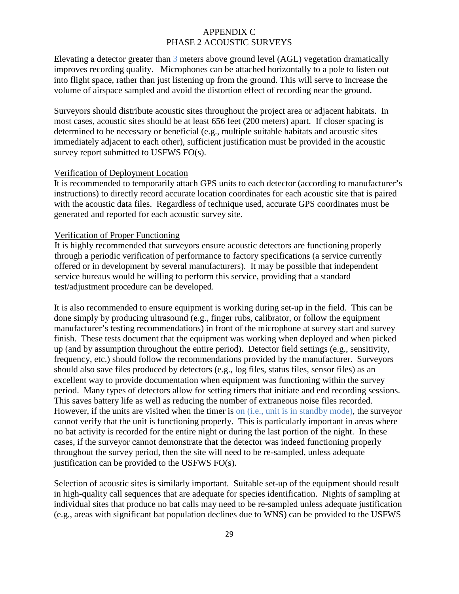Elevating a detector greater than 3 meters above ground level (AGL) vegetation dramatically improves recording quality. Microphones can be attached horizontally to a pole to listen out into flight space, rather than just listening up from the ground. This will serve to increase the volume of airspace sampled and avoid the distortion effect of recording near the ground.

Surveyors should distribute acoustic sites throughout the project area or adjacent habitats. In most cases, acoustic sites should be at least 656 feet (200 meters) apart. If closer spacing is determined to be necessary or beneficial (e.g., multiple suitable habitats and acoustic sites immediately adjacent to each other), sufficient justification must be provided in the acoustic survey report submitted to USFWS FO(s).

#### Verification of Deployment Location

It is recommended to temporarily attach GPS units to each detector (according to manufacturer's instructions) to directly record accurate location coordinates for each acoustic site that is paired with the acoustic data files. Regardless of technique used, accurate GPS coordinates must be generated and reported for each acoustic survey site.

#### Verification of Proper Functioning

It is highly recommended that surveyors ensure acoustic detectors are functioning properly through a periodic verification of performance to factory specifications (a service currently offered or in development by several manufacturers). It may be possible that independent service bureaus would be willing to perform this service, providing that a standard test/adjustment procedure can be developed.

It is also recommended to ensure equipment is working during set-up in the field. This can be done simply by producing ultrasound (e.g., finger rubs, calibrator, or follow the equipment manufacturer's testing recommendations) in front of the microphone at survey start and survey finish. These tests document that the equipment was working when deployed and when picked up (and by assumption throughout the entire period). Detector field settings (e.g., sensitivity, frequency, etc.) should follow the recommendations provided by the manufacturer. Surveyors should also save files produced by detectors (e.g., log files, status files, sensor files) as an excellent way to provide documentation when equipment was functioning within the survey period. Many types of detectors allow for setting timers that initiate and end recording sessions. This saves battery life as well as reducing the number of extraneous noise files recorded. However, if the units are visited when the timer is on (i.e., unit is in standby mode), the surveyor cannot verify that the unit is functioning properly. This is particularly important in areas where no bat activity is recorded for the entire night or during the last portion of the night. In these cases, if the surveyor cannot demonstrate that the detector was indeed functioning properly throughout the survey period, then the site will need to be re-sampled, unless adequate justification can be provided to the USFWS FO(s).

Selection of acoustic sites is similarly important. Suitable set-up of the equipment should result in high-quality call sequences that are adequate for species identification. Nights of sampling at individual sites that produce no bat calls may need to be re-sampled unless adequate justification (e.g., areas with significant bat population declines due to WNS) can be provided to the USFWS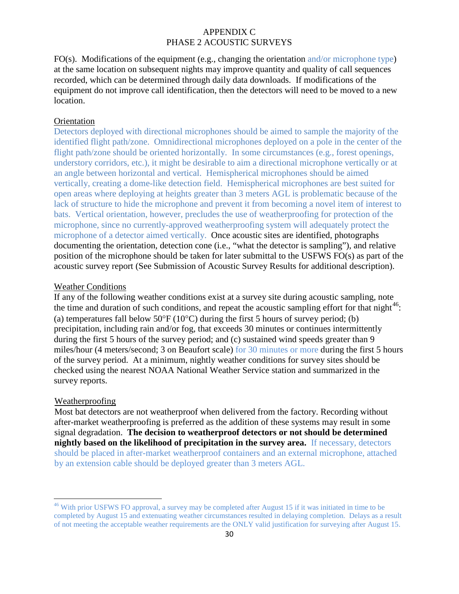FO(s). Modifications of the equipment (e.g., changing the orientation and/or microphone type) at the same location on subsequent nights may improve quantity and quality of call sequences recorded, which can be determined through daily data downloads. If modifications of the equipment do not improve call identification, then the detectors will need to be moved to a new location.

#### **Orientation**

Detectors deployed with directional microphones should be aimed to sample the majority of the identified flight path/zone. Omnidirectional microphones deployed on a pole in the center of the flight path/zone should be oriented horizontally. In some circumstances (e.g., forest openings, understory corridors, etc.), it might be desirable to aim a directional microphone vertically or at an angle between horizontal and vertical. Hemispherical microphones should be aimed vertically, creating a dome-like detection field. Hemispherical microphones are best suited for open areas where deploying at heights greater than 3 meters AGL is problematic because of the lack of structure to hide the microphone and prevent it from becoming a novel item of interest to bats. Vertical orientation, however, precludes the use of weatherproofing for protection of the microphone, since no currently-approved weatherproofing system will adequately protect the microphone of a detector aimed vertically. Once acoustic sites are identified, photographs documenting the orientation, detection cone (i.e., "what the detector is sampling"), and relative position of the microphone should be taken for later submittal to the USFWS FO(s) as part of the acoustic survey report (See Submission of Acoustic Survey Results for additional description).

#### Weather Conditions

If any of the following weather conditions exist at a survey site during acoustic sampling, note the time and duration of such conditions, and repeat the acoustic sampling effort for that night $^{46}$ : (a) temperatures fall below  $50^{\circ}F(10^{\circ}C)$  during the first 5 hours of survey period; (b) precipitation, including rain and/or fog, that exceeds 30 minutes or continues intermittently during the first 5 hours of the survey period; and (c) sustained wind speeds greater than 9 miles/hour (4 meters/second; 3 on Beaufort scale) for 30 minutes or more during the first 5 hours of the survey period. At a minimum, nightly weather conditions for survey sites should be checked using the nearest NOAA National Weather Service station and summarized in the survey reports.

#### Weatherproofing

Most bat detectors are not weatherproof when delivered from the factory. Recording without after-market weatherproofing is preferred as the addition of these systems may result in some signal degradation. **The decision to weatherproof detectors or not should be determined nightly based on the likelihood of precipitation in the survey area.** If necessary, detectors should be placed in after-market weatherproof containers and an external microphone, attached by an extension cable should be deployed greater than 3 meters AGL.

<span id="page-29-0"></span><sup>&</sup>lt;sup>46</sup> With prior USFWS FO approval, a survey may be completed after August 15 if it was initiated in time to be completed by August 15 and extenuating weather circumstances resulted in delaying completion. Delays as a result of not meeting the acceptable weather requirements are the ONLY valid justification for surveying after August 15.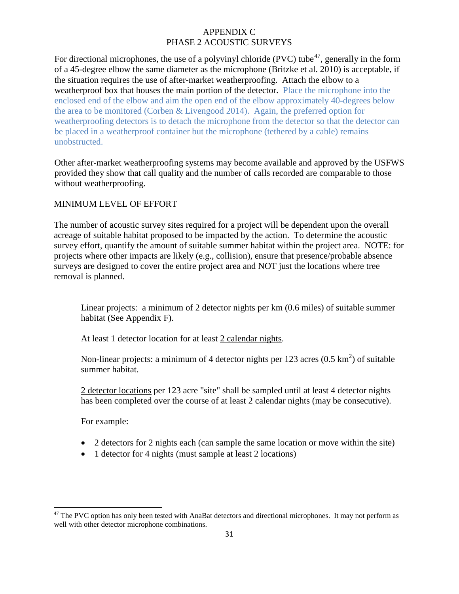For directional microphones, the use of a polyvinyl chloride (PVC) tube<sup>47</sup>, generally in the form of a 45-degree elbow the same diameter as the microphone (Britzke et al. 2010) is acceptable, if the situation requires the use of after-market weatherproofing. Attach the elbow to a weatherproof box that houses the main portion of the detector. Place the microphone into the enclosed end of the elbow and aim the open end of the elbow approximately 40-degrees below the area to be monitored (Corben & Livengood 2014). Again, the preferred option for weatherproofing detectors is to detach the microphone from the detector so that the detector can be placed in a weatherproof container but the microphone (tethered by a cable) remains unobstructed.

Other after-market weatherproofing systems may become available and approved by the USFWS provided they show that call quality and the number of calls recorded are comparable to those without weatherproofing.

### MINIMUM LEVEL OF EFFORT

The number of acoustic survey sites required for a project will be dependent upon the overall acreage of suitable habitat proposed to be impacted by the action. To determine the acoustic survey effort, quantify the amount of suitable summer habitat within the project area. NOTE: for projects where other impacts are likely (e.g., collision), ensure that presence/probable absence surveys are designed to cover the entire project area and NOT just the locations where tree removal is planned.

Linear projects: a minimum of 2 detector nights per km (0.6 miles) of suitable summer habitat (See Appendix F).

At least 1 detector location for at least 2 calendar nights.

Non-linear projects: a minimum of 4 detector nights per 123 acres  $(0.5 \text{ km}^2)$  of suitable summer habitat.

2 detector locations per 123 acre "site" shall be sampled until at least 4 detector nights has been completed over the course of at least 2 calendar nights (may be consecutive).

For example:

- 2 detectors for 2 nights each (can sample the same location or move within the site)
- 1 detector for 4 nights (must sample at least 2 locations)

<span id="page-30-0"></span><sup>&</sup>lt;sup>47</sup> The PVC option has only been tested with AnaBat detectors and directional microphones. It may not perform as well with other detector microphone combinations.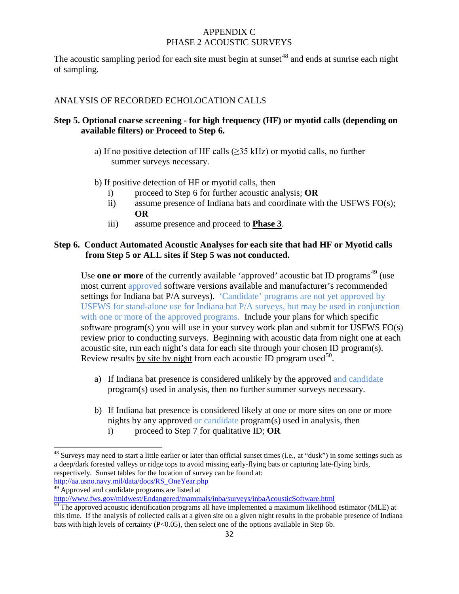The acoustic sampling period for each site must begin at sunset  $48$  and ends at sunrise each night of sampling.

### ANALYSIS OF RECORDED ECHOLOCATION CALLS

### **Step 5. Optional coarse screening - for high frequency (HF) or myotid calls (depending on available filters) or Proceed to Step 6.**

- a) If no positive detection of HF calls ( $\geq$ 35 kHz) or myotid calls, no further summer surveys necessary.
- b) If positive detection of HF or myotid calls, then
	- i) proceed to Step 6 for further acoustic analysis; **OR**
	- ii) assume presence of Indiana bats and coordinate with the USFWS FO(s); **OR**
	- iii) assume presence and proceed to **Phase 3**.

### **Step 6. Conduct Automated Acoustic Analyses for each site that had HF or Myotid calls from Step 5 or ALL sites if Step 5 was not conducted.**

Use **one or more** of the currently available 'approved' acoustic bat ID programs<sup>[49](#page-31-1)</sup> (use most current approved software versions available and manufacturer's recommended settings for Indiana bat P/A surveys). 'Candidate' programs are not yet approved by USFWS for stand-alone use for Indiana bat P/A surveys, but may be used in conjunction with one or more of the approved programs. Include your plans for which specific software program(s) you will use in your survey work plan and submit for USFWS FO(s) review prior to conducting surveys. Beginning with acoustic data from night one at each acoustic site, run each night's data for each site through your chosen ID program(s). Review results by site by night from each acoustic ID program used<sup>50</sup>.

- a) If Indiana bat presence is considered unlikely by the approved and candidate program(s) used in analysis, then no further summer surveys necessary.
- b) If Indiana bat presence is considered likely at one or more sites on one or more nights by any approved or candidate program(s) used in analysis, then i) proceed to Step 7 for qualitative ID; **OR**

<span id="page-31-0"></span><sup>&</sup>lt;sup>48</sup> Surveys may need to start a little earlier or later than official sunset times (i.e., at "dusk") in some settings such as a deep/dark forested valleys or ridge tops to avoid missing early-flying bats or capturing late-flying birds, respectively. Sunset tables for the location of survey can be found at: [http://aa.usno.navy.mil/data/docs/RS\\_OneYear.php](http://aa.usno.navy.mil/data/docs/RS_OneYear.php)

<span id="page-31-1"></span><sup>49</sup> Approved and candidate programs are listed at <http://www.fws.gov/midwest/Endangered/mammals/inba/surveys/inbaAcousticSoftware.html><br><sup>50</sup> The approved acoustic identification programs all have implemented a maximum likelihood estimator (MLE) at

<span id="page-31-2"></span>this time. If the analysis of collected calls at a given site on a given night results in the probable presence of Indiana bats with high levels of certainty (P<0.05), then select one of the options available in Step 6b.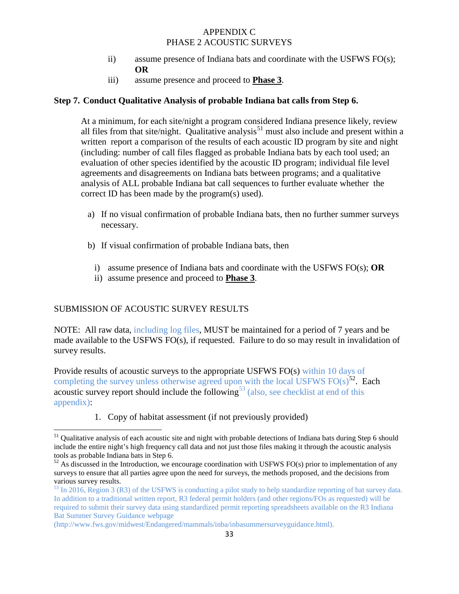- ii) assume presence of Indiana bats and coordinate with the USFWS  $FO(s)$ ; **OR**
- iii) assume presence and proceed to **Phase 3**.

#### **Step 7. Conduct Qualitative Analysis of probable Indiana bat calls from Step 6.**

At a minimum, for each site/night a program considered Indiana presence likely, review all files from that site/night. Qualitative analysis<sup>[51](#page-32-0)</sup> must also include and present within a written report a comparison of the results of each acoustic ID program by site and night (including: number of call files flagged as probable Indiana bats by each tool used; an evaluation of other species identified by the acoustic ID program; individual file level agreements and disagreements on Indiana bats between programs; and a qualitative analysis of ALL probable Indiana bat call sequences to further evaluate whether the correct ID has been made by the program(s) used).

- a) If no visual confirmation of probable Indiana bats, then no further summer surveys necessary.
- b) If visual confirmation of probable Indiana bats, then
	- i) assume presence of Indiana bats and coordinate with the USFWS FO(s); **OR**
	- ii) assume presence and proceed to **Phase 3**.

### SUBMISSION OF ACOUSTIC SURVEY RESULTS

NOTE: All raw data, including log files, MUST be maintained for a period of 7 years and be made available to the USFWS FO(s), if requested. Failure to do so may result in invalidation of survey results.

Provide results of acoustic surveys to the appropriate USFWS FO(s) within 10 days of completing the survey unless otherwise agreed upon with the local USFWS FO(s)<sup>[52](#page-32-1)</sup>. Each acoustic survey report should include the following<sup>[53](#page-32-2)</sup> (also, see checklist at end of this appendix):

1. Copy of habitat assessment (if not previously provided)

<span id="page-32-0"></span><sup>&</sup>lt;sup>51</sup> Qualitative analysis of each acoustic site and night with probable detections of Indiana bats during Step 6 should include the entire night's high frequency call data and not just those files making it through the acoustic analysis tools as probable Indiana bats in Step 6.

<span id="page-32-1"></span> $52$  As discussed in the Introduction, we encourage coordination with USFWS FO(s) prior to implementation of any surveys to ensure that all parties agree upon the need for surveys, the methods proposed, and the decisions from various survey results.

<span id="page-32-2"></span> $53$  In 2016, Region 3 (R3) of the USFWS is conducting a pilot study to help standardize reporting of bat survey data. In addition to a traditional written report, R3 federal permit holders (and other regions/FOs as requested) will be required to submit their survey data using standardized permit reporting spreadsheets available on the R3 Indiana Bat Summer Survey Guidance webpage

<sup>(</sup>http://www.fws.gov/midwest/Endangered/mammals/inba/inbasummersurveyguidance.html).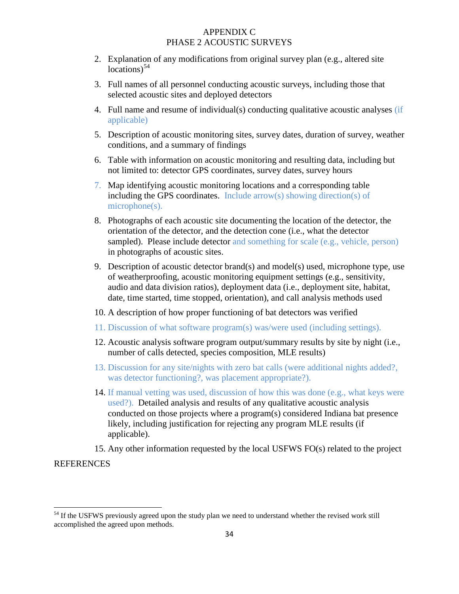- 2. Explanation of any modifications from original survey plan (e.g., altered site locations)<sup>[54](#page-33-0)</sup>
- 3. Full names of all personnel conducting acoustic surveys, including those that selected acoustic sites and deployed detectors
- 4. Full name and resume of individual(s) conducting qualitative acoustic analyses (if applicable)
- 5. Description of acoustic monitoring sites, survey dates, duration of survey, weather conditions, and a summary of findings
- 6. Table with information on acoustic monitoring and resulting data, including but not limited to: detector GPS coordinates, survey dates, survey hours
- 7. Map identifying acoustic monitoring locations and a corresponding table including the GPS coordinates. Include arrow(s) showing direction(s) of microphone(s).
- 8. Photographs of each acoustic site documenting the location of the detector, the orientation of the detector, and the detection cone (i.e., what the detector sampled). Please include detector and something for scale (e.g., vehicle, person) in photographs of acoustic sites.
- 9. Description of acoustic detector brand(s) and model(s) used, microphone type, use of weatherproofing, acoustic monitoring equipment settings (e.g., sensitivity, audio and data division ratios), deployment data (i.e., deployment site, habitat, date, time started, time stopped, orientation), and call analysis methods used
- 10. A description of how proper functioning of bat detectors was verified
- 11. Discussion of what software program(s) was/were used (including settings).
- 12. Acoustic analysis software program output/summary results by site by night (i.e., number of calls detected, species composition, MLE results)
- 13. Discussion for any site/nights with zero bat calls (were additional nights added?, was detector functioning?, was placement appropriate?).
- 14. If manual vetting was used, discussion of how this was done (e.g., what keys were used?). Detailed analysis and results of any qualitative acoustic analysis conducted on those projects where a program(s) considered Indiana bat presence likely, including justification for rejecting any program MLE results (if applicable).

15. Any other information requested by the local USFWS FO(s) related to the project

**REFERENCES** 

<span id="page-33-0"></span><sup>&</sup>lt;sup>54</sup> If the USFWS previously agreed upon the study plan we need to understand whether the revised work still accomplished the agreed upon methods.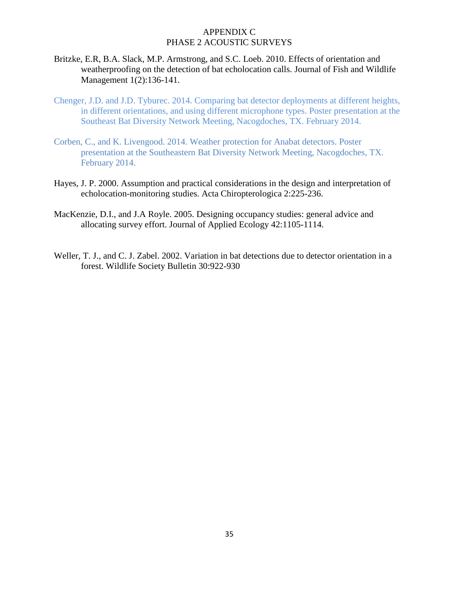- Britzke, E.R, B.A. Slack, M.P. Armstrong, and S.C. Loeb. 2010. Effects of orientation and weatherproofing on the detection of bat echolocation calls. Journal of Fish and Wildlife Management 1(2):136-141.
- Chenger, J.D. and J.D. Tyburec. 2014. Comparing bat detector deployments at different heights, in different orientations, and using different microphone types. Poster presentation at the Southeast Bat Diversity Network Meeting, Nacogdoches, TX. February 2014.
- Corben, C., and K. Livengood. 2014. Weather protection for Anabat detectors. Poster presentation at the Southeastern Bat Diversity Network Meeting, Nacogdoches, TX. February 2014.
- Hayes, J. P. 2000. Assumption and practical considerations in the design and interpretation of echolocation-monitoring studies. Acta Chiropterologica 2:225-236.
- MacKenzie, D.I., and J.A Royle. 2005. Designing occupancy studies: general advice and allocating survey effort. Journal of Applied Ecology 42:1105-1114.
- Weller, T. J., and C. J. Zabel. 2002. Variation in bat detections due to detector orientation in a forest. Wildlife Society Bulletin 30:922-930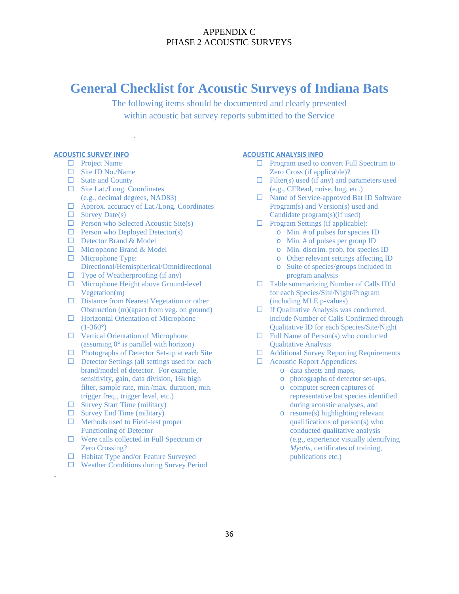# **General Checklist for Acoustic Surveys of Indiana Bats**

The following items should be documented and clearly presented within acoustic bat survey reports submitted to the Service

#### **ACOUSTIC SURVEY INFO**

- □ Project Name
- □ Site ID No./Name
- $\Box$  State and County
- □ Site Lat./Long. Coordinates (e.g., decimal degrees, NAD83)
- Approx. accuracy of Lat./Long. Coordinates

.

- $\Box$  Survey Date(s)
- $\Box$  Person who Selected Acoustic Site(s)
- $\Box$  Person who Deployed Detector(s)
- Detector Brand & Model
- $\Box$  Microphone Brand & Model
- $\Box$  Microphone Type: Directional/Hemispherical/Omnidirectional
- $\Box$  Type of Weatherproofing (if any)
- $\Box$  Microphone Height above Ground-level Vegetation(m)
- □ Distance from Nearest Vegetation or other Obstruction (m)(apart from veg. on ground)
- $\Box$  Horizontal Orientation of Microphone  $(1-360)$ <sup>o</sup>
- $\Box$  Vertical Orientation of Microphone (assuming 0° is parallel with horizon)
- $\Box$  Photographs of Detector Set-up at each Site
- $\Box$  Detector Settings (all settings used for each brand/model of detector. For example, sensitivity, gain, data division, 16k high filter, sample rate, min./max. duration, min. trigger freq., trigger level, etc.)
- $\square$  Survey Start Time (military)
- $\Box$  Survey End Time (military)

.

- $\Box$  Methods used to Field-test proper Functioning of Detector
- □ Were calls collected in Full Spectrum or Zero Crossing?
- $\Box$  Habitat Type and/or Feature Surveyed
- Weather Conditions during Survey Period

#### **ACOUSTIC ANALYSIS INFO**

- $\Box$  Program used to convert Full Spectrum to Zero Cross (if applicable)?
- $\Box$  Filter(s) used (if any) and parameters used (e.g., CFRead, noise, bug, etc.)
- □ Name of Service-approved Bat ID Software Program(s) and Version(s) used and Candidate program(s)(if used)
- $\Box$  Program Settings (if applicable):
	- o Min. # of pulses for species ID
	- o Min. # of pulses per group ID
	- o Min. discrim. prob. for species ID
	- o Other relevant settings affecting ID
	- o Suite of species/groups included in program analysis
- □ Table summarizing Number of Calls ID'd for each Species/Site/Night/Program (including MLE p-values)
- $\Box$  If Qualitative Analysis was conducted, include Number of Calls Confirmed through Qualitative ID for each Species/Site/Night
- $\Box$  Full Name of Person(s) who conducted Qualitative Analysis
- □ Additional Survey Reporting Requirements
- Acoustic Report Appendices:
	- o data sheets and maps,
	- o photographs of detector set-ups,
	- o computer screen captures of representative bat species identified during acoustic analyses, and
	- o resume(s) highlighting relevant qualifications of person(s) who conducted qualitative analysis (e.g., experience visually identifying *Myotis*, certificates of training, publications etc.)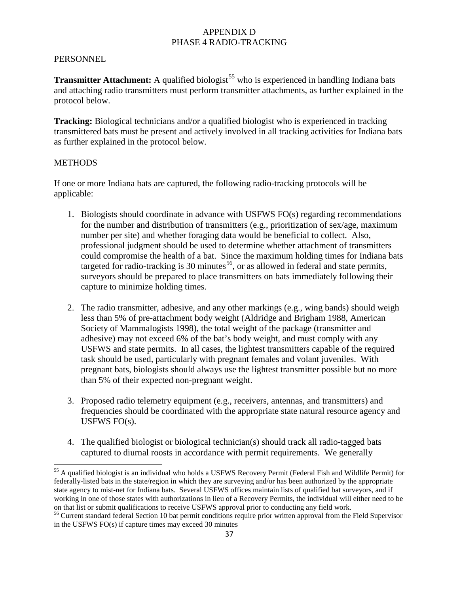#### **PERSONNEL**

**Transmitter Attachment:** A qualified biologist<sup>[55](#page-36-0)</sup> who is experienced in handling Indiana bats and attaching radio transmitters must perform transmitter attachments, as further explained in the protocol below.

**Tracking:** Biological technicians and/or a qualified biologist who is experienced in tracking transmittered bats must be present and actively involved in all tracking activities for Indiana bats as further explained in the protocol below.

#### **METHODS**

If one or more Indiana bats are captured, the following radio-tracking protocols will be applicable:

- 1. Biologists should coordinate in advance with USFWS FO(s) regarding recommendations for the number and distribution of transmitters (e.g., prioritization of sex/age, maximum number per site) and whether foraging data would be beneficial to collect. Also, professional judgment should be used to determine whether attachment of transmitters could compromise the health of a bat. Since the maximum holding times for Indiana bats targeted for radio-tracking is 30 minutes<sup>[56](#page-36-1)</sup>, or as allowed in federal and state permits, surveyors should be prepared to place transmitters on bats immediately following their capture to minimize holding times.
- 2. The radio transmitter, adhesive, and any other markings (e.g., wing bands) should weigh less than 5% of pre-attachment body weight (Aldridge and Brigham 1988, American Society of Mammalogists 1998), the total weight of the package (transmitter and adhesive) may not exceed 6% of the bat's body weight, and must comply with any USFWS and state permits. In all cases, the lightest transmitters capable of the required task should be used, particularly with pregnant females and volant juveniles. With pregnant bats, biologists should always use the lightest transmitter possible but no more than 5% of their expected non-pregnant weight.
- 3. Proposed radio telemetry equipment (e.g., receivers, antennas, and transmitters) and frequencies should be coordinated with the appropriate state natural resource agency and USFWS FO(s).
- 4. The qualified biologist or biological technician(s) should track all radio-tagged bats captured to diurnal roosts in accordance with permit requirements. We generally

<span id="page-36-0"></span><sup>&</sup>lt;sup>55</sup> A qualified biologist is an individual who holds a USFWS Recovery Permit (Federal Fish and Wildlife Permit) for federally-listed bats in the state/region in which they are surveying and/or has been authorized by the appropriate state agency to mist-net for Indiana bats. Several USFWS offices maintain lists of qualified bat surveyors, and if working in one of those states with authorizations in lieu of a Recovery Permits, the individual will either need to be

<span id="page-36-1"></span>on that list or submit qualifications to receive USFWS approval prior to conducting any field work.<br><sup>56</sup> Current standard federal Section 10 bat permit conditions require prior written approval from the Field Supervisor in the USFWS FO(s) if capture times may exceed 30 minutes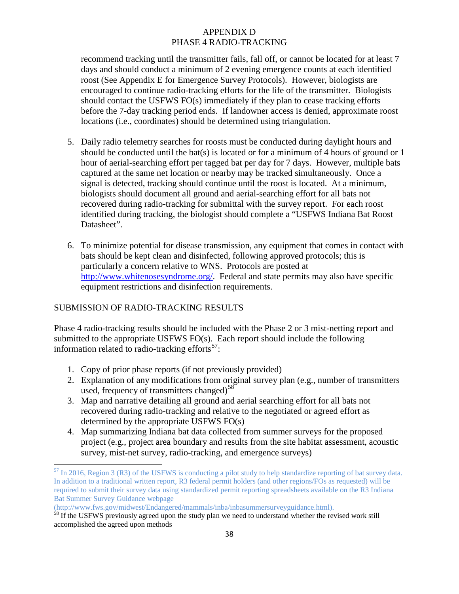recommend tracking until the transmitter fails, fall off, or cannot be located for at least 7 days and should conduct a minimum of 2 evening emergence counts at each identified roost (See Appendix E for Emergence Survey Protocols). However, biologists are encouraged to continue radio-tracking efforts for the life of the transmitter. Biologists should contact the USFWS FO(s) immediately if they plan to cease tracking efforts before the 7-day tracking period ends. If landowner access is denied, approximate roost locations (i.e., coordinates) should be determined using triangulation.

- 5. Daily radio telemetry searches for roosts must be conducted during daylight hours and should be conducted until the bat(s) is located or for a minimum of 4 hours of ground or 1 hour of aerial-searching effort per tagged bat per day for 7 days. However, multiple bats captured at the same net location or nearby may be tracked simultaneously. Once a signal is detected, tracking should continue until the roost is located. At a minimum, biologists should document all ground and aerial-searching effort for all bats not recovered during radio-tracking for submittal with the survey report. For each roost identified during tracking, the biologist should complete a "USFWS Indiana Bat Roost Datasheet".
- 6. To minimize potential for disease transmission, any equipment that comes in contact with bats should be kept clean and disinfected, following approved protocols; this is particularly a concern relative to WNS. Protocols are posted at [http://www.whitenosesyndrome.org/.](http://www.whitenosesyndrome.org/) Federal and state permits may also have specific equipment restrictions and disinfection requirements.

### SUBMISSION OF RADIO-TRACKING RESULTS

Phase 4 radio-tracking results should be included with the Phase 2 or 3 mist-netting report and submitted to the appropriate USFWS FO(s). Each report should include the following information related to radio-tracking efforts<sup>57</sup>:

- 1. Copy of prior phase reports (if not previously provided)
- 2. Explanation of any modifications from original survey plan (e.g., number of transmitters used, frequency of transmitters changed) $58$
- 3. Map and narrative detailing all ground and aerial searching effort for all bats not recovered during radio-tracking and relative to the negotiated or agreed effort as determined by the appropriate USFWS FO(s)
- 4. Map summarizing Indiana bat data collected from summer surveys for the proposed project (e.g., project area boundary and results from the site habitat assessment, acoustic survey, mist-net survey, radio-tracking, and emergence surveys)

<span id="page-37-0"></span> $<sup>57</sup>$  In 2016, Region 3 (R3) of the USFWS is conducting a pilot study to help standardize reporting of bat survey data.</sup> In addition to a traditional written report, R3 federal permit holders (and other regions/FOs as requested) will be required to submit their survey data using standardized permit reporting spreadsheets available on the R3 Indiana Bat Summer Survey Guidance webpage

<sup>(</sup>http://www.fws.gov/midwest/Endangered/mammals/inba/inbasummersurveyguidance.html).

<span id="page-37-1"></span><sup>&</sup>lt;sup>58</sup> If the USFWS previously agreed upon the study plan we need to understand whether the revised work still accomplished the agreed upon methods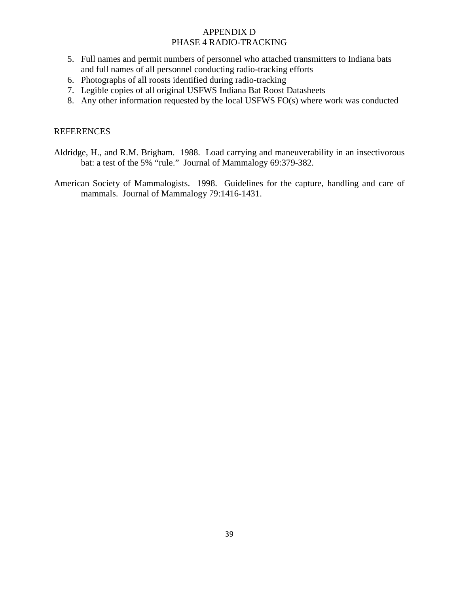- 5. Full names and permit numbers of personnel who attached transmitters to Indiana bats and full names of all personnel conducting radio-tracking efforts
- 6. Photographs of all roosts identified during radio-tracking
- 7. Legible copies of all original USFWS Indiana Bat Roost Datasheets
- 8. Any other information requested by the local USFWS FO(s) where work was conducted

### REFERENCES

- Aldridge, H., and R.M. Brigham. 1988. Load carrying and maneuverability in an insectivorous bat: a test of the 5% "rule." Journal of Mammalogy 69:379-382.
- American Society of Mammalogists. 1998. Guidelines for the capture, handling and care of mammals. Journal of Mammalogy 79:1416-1431.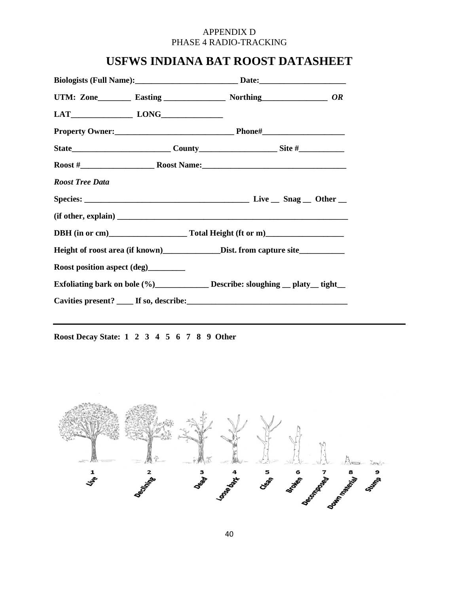# **USFWS INDIANA BAT ROOST DATASHEET**

| <b>Roost Tree Data</b>                                                                               |  |  |
|------------------------------------------------------------------------------------------------------|--|--|
|                                                                                                      |  |  |
|                                                                                                      |  |  |
|                                                                                                      |  |  |
| Height of roost area (if known)____________________Dist. from capture site__________________________ |  |  |
| Roost position aspect (deg)_________                                                                 |  |  |
| Exfoliating bark on bole (%)_______________ Describe: sloughing __ platy__ tight__                   |  |  |
|                                                                                                      |  |  |
|                                                                                                      |  |  |

**Roost Decay State: 1 2 3 4 5 6 7 8 9 Other**

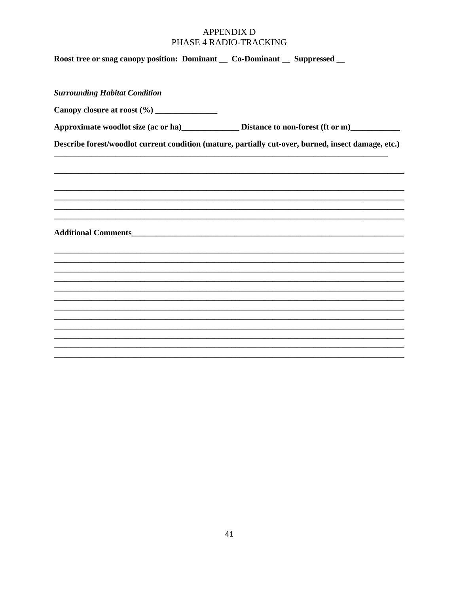| Roost tree or snag canopy position: Dominant _ Co-Dominant _ Suppressed _                           |  |  |  |  |
|-----------------------------------------------------------------------------------------------------|--|--|--|--|
| <b>Surrounding Habitat Condition</b>                                                                |  |  |  |  |
| Canopy closure at roost (%) ______________                                                          |  |  |  |  |
|                                                                                                     |  |  |  |  |
| Describe forest/woodlot current condition (mature, partially cut-over, burned, insect damage, etc.) |  |  |  |  |
|                                                                                                     |  |  |  |  |
|                                                                                                     |  |  |  |  |
|                                                                                                     |  |  |  |  |
|                                                                                                     |  |  |  |  |
|                                                                                                     |  |  |  |  |
|                                                                                                     |  |  |  |  |
|                                                                                                     |  |  |  |  |
|                                                                                                     |  |  |  |  |
|                                                                                                     |  |  |  |  |
|                                                                                                     |  |  |  |  |
|                                                                                                     |  |  |  |  |
|                                                                                                     |  |  |  |  |
|                                                                                                     |  |  |  |  |
|                                                                                                     |  |  |  |  |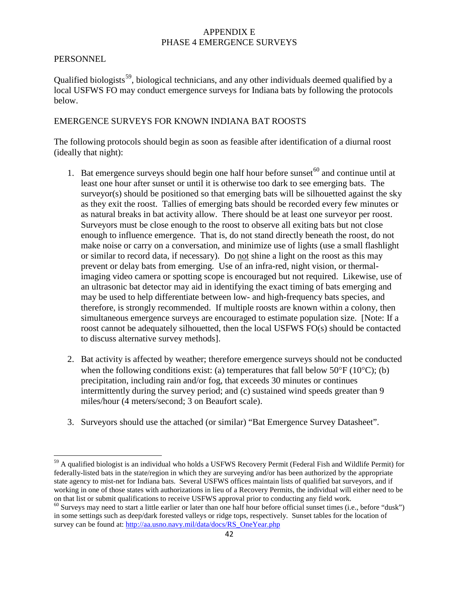#### **PERSONNEL**

Qualified biologists<sup>59</sup>, biological technicians, and any other individuals deemed qualified by a local USFWS FO may conduct emergence surveys for Indiana bats by following the protocols below.

### EMERGENCE SURVEYS FOR KNOWN INDIANA BAT ROOSTS

The following protocols should begin as soon as feasible after identification of a diurnal roost (ideally that night):

- 1. Bat emergence surveys should begin one half hour before sunset  $60$  and continue until at least one hour after sunset or until it is otherwise too dark to see emerging bats. The surveyor(s) should be positioned so that emerging bats will be silhouetted against the sky as they exit the roost. Tallies of emerging bats should be recorded every few minutes or as natural breaks in bat activity allow. There should be at least one surveyor per roost. Surveyors must be close enough to the roost to observe all exiting bats but not close enough to influence emergence. That is, do not stand directly beneath the roost, do not make noise or carry on a conversation, and minimize use of lights (use a small flashlight or similar to record data, if necessary). Do not shine a light on the roost as this may prevent or delay bats from emerging. Use of an infra-red, night vision, or thermalimaging video camera or spotting scope is encouraged but not required. Likewise, use of an ultrasonic bat detector may aid in identifying the exact timing of bats emerging and may be used to help differentiate between low- and high-frequency bats species, and therefore, is strongly recommended. If multiple roosts are known within a colony, then simultaneous emergence surveys are encouraged to estimate population size. [Note: If a roost cannot be adequately silhouetted, then the local USFWS FO(s) should be contacted to discuss alternative survey methods].
- 2. Bat activity is affected by weather; therefore emergence surveys should not be conducted when the following conditions exist: (a) temperatures that fall below  $50^{\circ}F(10^{\circ}C)$ ; (b) precipitation, including rain and/or fog, that exceeds 30 minutes or continues intermittently during the survey period; and (c) sustained wind speeds greater than 9 miles/hour (4 meters/second; 3 on Beaufort scale).
- 3. Surveyors should use the attached (or similar) "Bat Emergence Survey Datasheet".

<span id="page-41-0"></span><sup>59</sup> A qualified biologist is an individual who holds a USFWS Recovery Permit (Federal Fish and Wildlife Permit) for federally-listed bats in the state/region in which they are surveying and/or has been authorized by the appropriate state agency to mist-net for Indiana bats. Several USFWS offices maintain lists of qualified bat surveyors, and if working in one of those states with authorizations in lieu of a Recovery Permits, the individual will either need to be on that list or submit qualifications to receive USFWS approval prior to conducting any field work.

<span id="page-41-1"></span> $60$  Surveys may need to start a little earlier or later than one half hour before official sunset times (i.e., before "dusk") in some settings such as deep/dark forested valleys or ridge tops, respectively. Sunset tables for the location of survey can be found at: [http://aa.usno.navy.mil/data/docs/RS\\_OneYear.php](http://aa.usno.navy.mil/data/docs/RS_OneYear.php)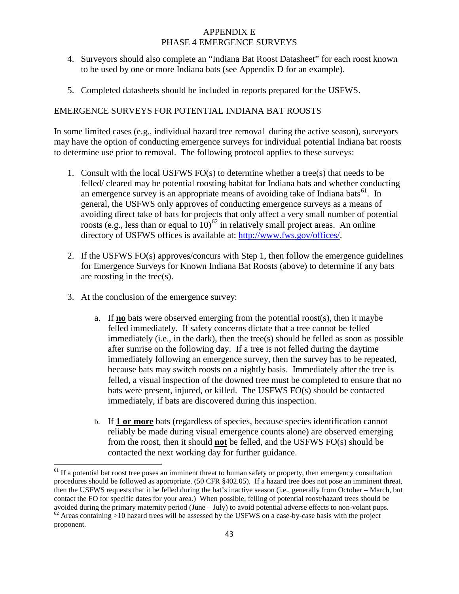- 4. Surveyors should also complete an "Indiana Bat Roost Datasheet" for each roost known to be used by one or more Indiana bats (see Appendix D for an example).
- 5. Completed datasheets should be included in reports prepared for the USFWS.

### EMERGENCE SURVEYS FOR POTENTIAL INDIANA BAT ROOSTS

In some limited cases (e.g., individual hazard tree removal during the active season), surveyors may have the option of conducting emergence surveys for individual potential Indiana bat roosts to determine use prior to removal. The following protocol applies to these surveys:

- 1. Consult with the local USFWS FO(s) to determine whether a tree(s) that needs to be felled/ cleared may be potential roosting habitat for Indiana bats and whether conducting an emergence survey is an appropriate means of avoiding take of Indiana bats<sup>61</sup>. In general, the USFWS only approves of conducting emergence surveys as a means of avoiding direct take of bats for projects that only affect a very small number of potential roosts (e.g., less than or equal to  $10^{-62}$  $10^{-62}$  $10^{-62}$  in relatively small project areas. An online directory of USFWS offices is available at: [http://www.fws.gov/offices/.](http://www.fws.gov/offices/)
- 2. If the USFWS FO(s) approves/concurs with Step 1, then follow the emergence guidelines for Emergence Surveys for Known Indiana Bat Roosts (above) to determine if any bats are roosting in the tree(s).
- 3. At the conclusion of the emergence survey:
	- a. If **no** bats were observed emerging from the potential roost(s), then it maybe felled immediately. If safety concerns dictate that a tree cannot be felled immediately (i.e., in the dark), then the tree(s) should be felled as soon as possible after sunrise on the following day. If a tree is not felled during the daytime immediately following an emergence survey, then the survey has to be repeated, because bats may switch roosts on a nightly basis. Immediately after the tree is felled, a visual inspection of the downed tree must be completed to ensure that no bats were present, injured, or killed. The USFWS FO(s) should be contacted immediately, if bats are discovered during this inspection.
	- b. If **1 or more** bats (regardless of species, because species identification cannot reliably be made during visual emergence counts alone) are observed emerging from the roost, then it should **not** be felled, and the USFWS FO(s) should be contacted the next working day for further guidance.

<span id="page-42-0"></span> $61$  If a potential bat roost tree poses an imminent threat to human safety or property, then emergency consultation procedures should be followed as appropriate. (50 CFR §402.05). If a hazard tree does not pose an imminent threat, then the USFWS requests that it be felled during the bat's inactive season (i.e., generally from October – March, but contact the FO for specific dates for your area.) When possible, felling of potential roost/hazard trees should be avoided during the primary maternity period (June – July) to avoid potential adverse effects to non-volant pups.  $62$  Areas containing >10 hazard trees will be assessed by the USFWS on a case-by-case basis with the projec

<span id="page-42-1"></span>proponent.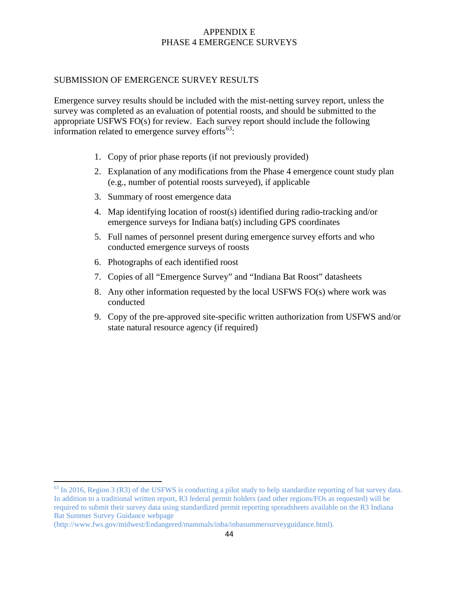#### SUBMISSION OF EMERGENCE SURVEY RESULTS

Emergence survey results should be included with the mist-netting survey report, unless the survey was completed as an evaluation of potential roosts, and should be submitted to the appropriate USFWS FO(s) for review. Each survey report should include the following information related to emergence survey efforts $63$ :

- 1. Copy of prior phase reports (if not previously provided)
- 2. Explanation of any modifications from the Phase 4 emergence count study plan (e.g., number of potential roosts surveyed), if applicable
- 3. Summary of roost emergence data
- 4. Map identifying location of roost(s) identified during radio-tracking and/or emergence surveys for Indiana bat(s) including GPS coordinates
- 5. Full names of personnel present during emergence survey efforts and who conducted emergence surveys of roosts
- 6. Photographs of each identified roost
- 7. Copies of all "Emergence Survey" and "Indiana Bat Roost" datasheets
- 8. Any other information requested by the local USFWS FO(s) where work was conducted
- 9. Copy of the pre-approved site-specific written authorization from USFWS and/or state natural resource agency (if required)

<span id="page-43-0"></span><sup>&</sup>lt;sup>63</sup> In 2016, Region 3 (R3) of the USFWS is conducting a pilot study to help standardize reporting of bat survey data. In addition to a traditional written report, R3 federal permit holders (and other regions/FOs as requested) will be required to submit their survey data using standardized permit reporting spreadsheets available on the R3 Indiana Bat Summer Survey Guidance webpage

<sup>(</sup>http://www.fws.gov/midwest/Endangered/mammals/inba/inbasummersurveyguidance.html).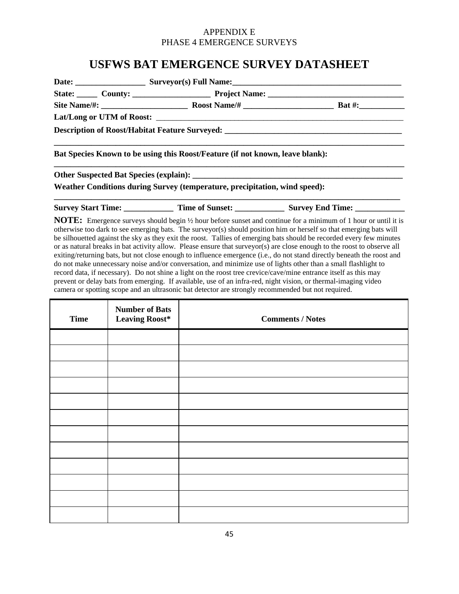# **USFWS BAT EMERGENCE SURVEY DATASHEET**

| State: County: County: Project Name: County: County: County: County: County: County: County: County: County: County: County: County: County: County: County: County: County: County: County: County: County: County: County: C |  |
|--------------------------------------------------------------------------------------------------------------------------------------------------------------------------------------------------------------------------------|--|
|                                                                                                                                                                                                                                |  |
|                                                                                                                                                                                                                                |  |
| Description of Roost/Habitat Feature Surveyed: __________________________________                                                                                                                                              |  |
| Bat Species Known to be using this Roost/Feature (if not known, leave blank):                                                                                                                                                  |  |
|                                                                                                                                                                                                                                |  |
| Weather Conditions during Survey (temperature, precipitation, wind speed):                                                                                                                                                     |  |
|                                                                                                                                                                                                                                |  |

| <b>Survey Start Time:</b> | <b>Time of Sunset:</b> | <b>Survey End Time:</b> |
|---------------------------|------------------------|-------------------------|
|                           |                        |                         |

**NOTE:** Emergence surveys should begin  $\frac{1}{2}$  hour before sunset and continue for a minimum of 1 hour or until it is otherwise too dark to see emerging bats. The surveyor(s) should position him or herself so that emerging bats will be silhouetted against the sky as they exit the roost. Tallies of emerging bats should be recorded every few minutes or as natural breaks in bat activity allow. Please ensure that surveyor(s) are close enough to the roost to observe all exiting/returning bats, but not close enough to influence emergence (i.e., do not stand directly beneath the roost and do not make unnecessary noise and/or conversation, and minimize use of lights other than a small flashlight to record data, if necessary). Do not shine a light on the roost tree crevice/cave/mine entrance itself as this may prevent or delay bats from emerging. If available, use of an infra-red, night vision, or thermal-imaging video camera or spotting scope and an ultrasonic bat detector are strongly recommended but not required.

| <b>Time</b> | <b>Number of Bats</b><br><b>Leaving Roost*</b> | <b>Comments / Notes</b> |
|-------------|------------------------------------------------|-------------------------|
|             |                                                |                         |
|             |                                                |                         |
|             |                                                |                         |
|             |                                                |                         |
|             |                                                |                         |
|             |                                                |                         |
|             |                                                |                         |
|             |                                                |                         |
|             |                                                |                         |
|             |                                                |                         |
|             |                                                |                         |
|             |                                                |                         |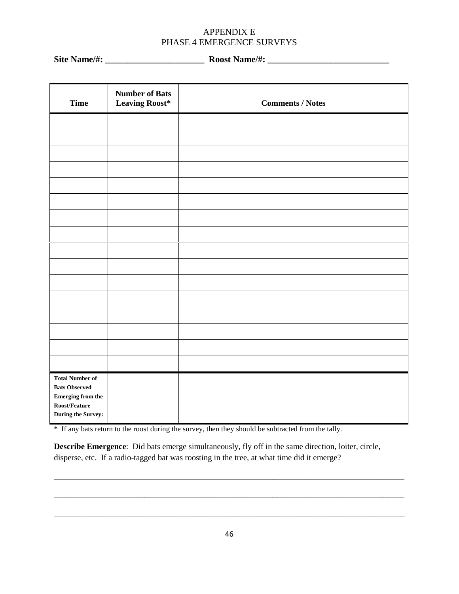**Site Name/#: \_\_\_\_\_\_\_\_\_\_\_\_\_\_\_\_\_\_\_\_\_\_ Roost Name/#: \_\_\_\_\_\_\_\_\_\_\_\_\_\_\_\_\_\_\_\_\_\_\_\_\_\_\_**

| <b>Time</b>                                    | <b>Number of Bats</b><br><b>Leaving Roost*</b> | <b>Comments / Notes</b> |
|------------------------------------------------|------------------------------------------------|-------------------------|
|                                                |                                                |                         |
|                                                |                                                |                         |
|                                                |                                                |                         |
|                                                |                                                |                         |
|                                                |                                                |                         |
|                                                |                                                |                         |
|                                                |                                                |                         |
|                                                |                                                |                         |
|                                                |                                                |                         |
|                                                |                                                |                         |
|                                                |                                                |                         |
|                                                |                                                |                         |
|                                                |                                                |                         |
|                                                |                                                |                         |
|                                                |                                                |                         |
| <b>Total Number of</b><br><b>Bats Observed</b> |                                                |                         |
| Emerging from the $\,$<br>Roost/Feature        |                                                |                         |
| During the Survey:                             |                                                |                         |

\* If any bats return to the roost during the survey, then they should be subtracted from the tally.

**Describe Emergence**: Did bats emerge simultaneously, fly off in the same direction, loiter, circle, disperse, etc. If a radio-tagged bat was roosting in the tree, at what time did it emerge?

\_\_\_\_\_\_\_\_\_\_\_\_\_\_\_\_\_\_\_\_\_\_\_\_\_\_\_\_\_\_\_\_\_\_\_\_\_\_\_\_\_\_\_\_\_\_\_\_\_\_\_\_\_\_\_\_\_\_\_\_\_\_\_\_\_\_\_\_\_\_\_\_\_\_\_\_\_\_

\_\_\_\_\_\_\_\_\_\_\_\_\_\_\_\_\_\_\_\_\_\_\_\_\_\_\_\_\_\_\_\_\_\_\_\_\_\_\_\_\_\_\_\_\_\_\_\_\_\_\_\_\_\_\_\_\_\_\_\_\_\_\_\_\_\_\_\_\_\_\_\_\_\_\_\_\_\_\_\_\_\_\_\_\_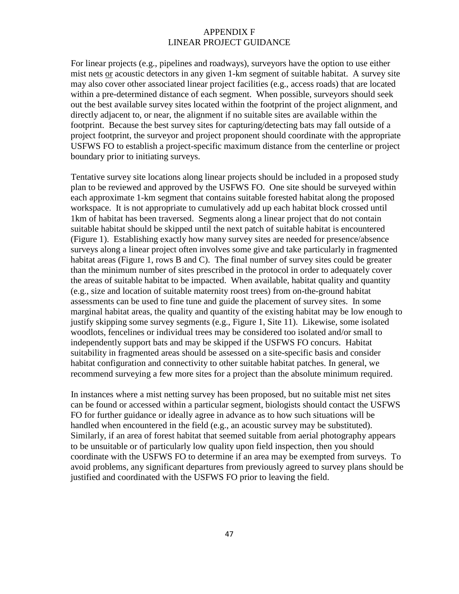#### APPENDIX F LINEAR PROJECT GUIDANCE

For linear projects (e.g., pipelines and roadways), surveyors have the option to use either mist nets or acoustic detectors in any given 1-km segment of suitable habitat. A survey site may also cover other associated linear project facilities (e.g., access roads) that are located within a pre-determined distance of each segment. When possible, surveyors should seek out the best available survey sites located within the footprint of the project alignment, and directly adjacent to, or near, the alignment if no suitable sites are available within the footprint. Because the best survey sites for capturing/detecting bats may fall outside of a project footprint, the surveyor and project proponent should coordinate with the appropriate USFWS FO to establish a project-specific maximum distance from the centerline or project boundary prior to initiating surveys.

Tentative survey site locations along linear projects should be included in a proposed study plan to be reviewed and approved by the USFWS FO. One site should be surveyed within each approximate 1-km segment that contains suitable forested habitat along the proposed workspace. It is not appropriate to cumulatively add up each habitat block crossed until 1km of habitat has been traversed. Segments along a linear project that do not contain suitable habitat should be skipped until the next patch of suitable habitat is encountered (Figure 1). Establishing exactly how many survey sites are needed for presence/absence surveys along a linear project often involves some give and take particularly in fragmented habitat areas (Figure 1, rows B and C). The final number of survey sites could be greater than the minimum number of sites prescribed in the protocol in order to adequately cover the areas of suitable habitat to be impacted. When available, habitat quality and quantity (e.g., size and location of suitable maternity roost trees) from on-the-ground habitat assessments can be used to fine tune and guide the placement of survey sites. In some marginal habitat areas, the quality and quantity of the existing habitat may be low enough to justify skipping some survey segments (e.g., Figure 1, Site 11). Likewise, some isolated woodlots, fencelines or individual trees may be considered too isolated and/or small to independently support bats and may be skipped if the USFWS FO concurs. Habitat suitability in fragmented areas should be assessed on a site-specific basis and consider habitat configuration and connectivity to other suitable habitat patches. In general, we recommend surveying a few more sites for a project than the absolute minimum required.

In instances where a mist netting survey has been proposed, but no suitable mist net sites can be found or accessed within a particular segment, biologists should contact the USFWS FO for further guidance or ideally agree in advance as to how such situations will be handled when encountered in the field (e.g., an acoustic survey may be substituted). Similarly, if an area of forest habitat that seemed suitable from aerial photography appears to be unsuitable or of particularly low quality upon field inspection, then you should coordinate with the USFWS FO to determine if an area may be exempted from surveys. To avoid problems, any significant departures from previously agreed to survey plans should be justified and coordinated with the USFWS FO prior to leaving the field.